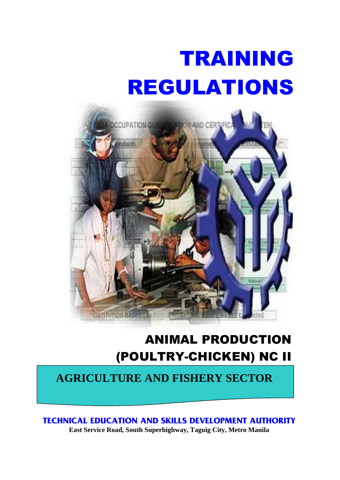# TRAINING REGULATIONS



# ANIMAL PRODUCTION (POULTRY-CHICKEN) NC II

## **AGRICULTURE AND FISHERY SECTOR**

**TECHNICAL EDUCATION AND SKILLS DEVELOPMENT AUTHORITY**

**East Service Road, South Superhighway, Taguig City, Metro Manila**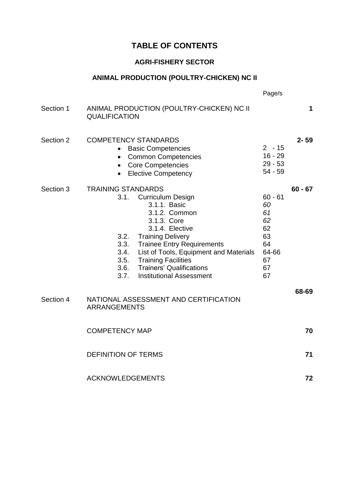### **TABLE OF CONTENTS**

#### **AGRI-FISHERY SECTOR**

#### **ANIMAL PRODUCTION (POULTRY-CHICKEN) NC II**

|           |                                                                                                                                                                                                                                                                                                                                                                   | Page/s                                                                   |           |
|-----------|-------------------------------------------------------------------------------------------------------------------------------------------------------------------------------------------------------------------------------------------------------------------------------------------------------------------------------------------------------------------|--------------------------------------------------------------------------|-----------|
| Section 1 | ANIMAL PRODUCTION (POULTRY-CHICKEN) NC II<br><b>QUALIFICATION</b>                                                                                                                                                                                                                                                                                                 |                                                                          | 1         |
| Section 2 | <b>COMPETENCY STANDARDS</b><br><b>Basic Competencies</b><br><b>Common Competencies</b><br>$\bullet$<br><b>Core Competencies</b><br>$\bullet$<br><b>Elective Competency</b>                                                                                                                                                                                        | $2 - 15$<br>$16 - 29$<br>$29 - 53$<br>$54 - 59$                          | $2 - 59$  |
| Section 3 | <b>TRAINING STANDARDS</b><br><b>Curriculum Design</b><br>3.1.<br>3.1.1. Basic<br>3.1.2. Common<br>3.1.3. Core<br>3.1.4. Elective<br>3.2. Training Delivery<br>3.3.<br><b>Trainee Entry Requirements</b><br>3.4.<br>List of Tools, Equipment and Materials<br>3.5. Training Facilities<br>3.6. Trainers' Qualifications<br>3.7.<br><b>Institutional Assessment</b> | $60 - 61$<br>60<br>61<br>62<br>62<br>63<br>64<br>64-66<br>67<br>67<br>67 | $60 - 67$ |
| Section 4 | NATIONAL ASSESSMENT AND CERTIFICATION<br><b>ARRANGEMENTS</b>                                                                                                                                                                                                                                                                                                      |                                                                          | 68-69     |
|           | <b>COMPETENCY MAP</b>                                                                                                                                                                                                                                                                                                                                             |                                                                          | 70        |
|           | <b>DEFINITION OF TERMS</b>                                                                                                                                                                                                                                                                                                                                        |                                                                          | 71        |
|           | <b>ACKNOWLEDGEMENTS</b>                                                                                                                                                                                                                                                                                                                                           |                                                                          | 72        |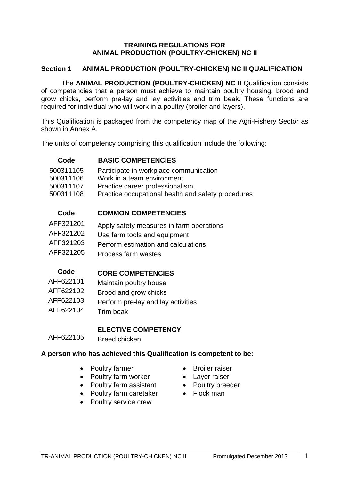#### **TRAINING REGULATIONS FOR ANIMAL PRODUCTION (POULTRY-CHICKEN) NC II**

#### **Section 1 ANIMAL PRODUCTION (POULTRY-CHICKEN) NC II QUALIFICATION**

The **ANIMAL PRODUCTION (POULTRY-CHICKEN) NC II** Qualification consists of competencies that a person must achieve to maintain poultry housing, brood and grow chicks, perform pre-lay and lay activities and trim beak. These functions are required for individual who will work in a poultry (broiler and layers).

This Qualification is packaged from the competency map of the Agri-Fishery Sector as shown in Annex A.

The units of competency comprising this qualification include the following:

#### **Code BASIC COMPETENCIES**

 Participate in workplace communication Work in a team environment Practice career professionalism Practice occupational health and safety procedures

#### **Code COMMON COMPETENCIES**

| AFF321201 | Apply safety measures in farm operations |
|-----------|------------------------------------------|
| AFF321202 | Use farm tools and equipment             |
| AFF321203 | Perform estimation and calculations      |
| AFF321205 | Process farm wastes                      |

#### **Code CORE COMPETENCIES** AFF622101 Maintain poultry house

- AFF622102 Brood and grow chicks AFF622103 Perform pre-lay and lay activities
- AFF622104 Trim beak

#### **ELECTIVE COMPETENCY**

AFF622105 Breed chicken

#### **A person who has achieved this Qualification is competent to be:**

- Poultry farmer **•** Broiler raiser
- Poultry farm worker Layer raiser
- Poultry farm assistant Poultry breeder
- Poultry farm caretaker Flock man
- Poultry service crew
- 
- 
- 
-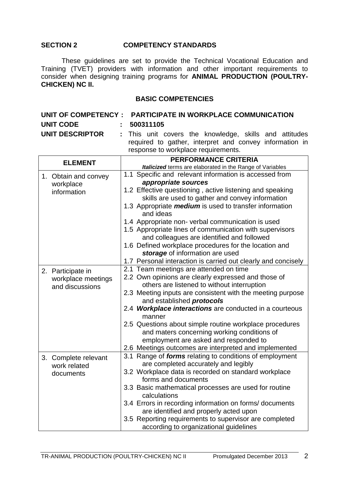#### **SECTION 2 COMPETENCY STANDARDS**

These guidelines are set to provide the Technical Vocational Education and Training (TVET) providers with information and other important requirements to consider when designing training programs for **ANIMAL PRODUCTION (POULTRY-CHICKEN) NC II.**

#### **BASIC COMPETENCIES**

|                 | UNIT OF COMPETENCY : PARTICIPATE IN WORKPLACE COMMUNICATION                                                                                              |
|-----------------|----------------------------------------------------------------------------------------------------------------------------------------------------------|
| UNIT CODE       | : 500311105                                                                                                                                              |
| UNIT DESCRIPTOR | : This unit covers the knowledge, skills and attitudes<br>required to gather, interpret and convey information in<br>response to workplace requirements. |

|                      | <b>PERFORMANCE CRITERIA</b>                                                                           |  |  |
|----------------------|-------------------------------------------------------------------------------------------------------|--|--|
| <b>ELEMENT</b>       | Italicized terms are elaborated in the Range of Variables                                             |  |  |
| 1. Obtain and convey | 1.1 Specific and relevant information is accessed from                                                |  |  |
| workplace            | appropriate sources                                                                                   |  |  |
| information          | 1.2 Effective questioning, active listening and speaking                                              |  |  |
|                      | skills are used to gather and convey information                                                      |  |  |
|                      | 1.3 Appropriate <i>medium</i> is used to transfer information<br>and ideas                            |  |  |
|                      | 1.4 Appropriate non-verbal communication is used                                                      |  |  |
|                      | 1.5 Appropriate lines of communication with supervisors<br>and colleagues are identified and followed |  |  |
|                      | 1.6 Defined workplace procedures for the location and<br>storage of information are used              |  |  |
|                      | 1.7 Personal interaction is carried out clearly and concisely                                         |  |  |
| 2. Participate in    | 2.1 Team meetings are attended on time                                                                |  |  |
| workplace meetings   | 2.2 Own opinions are clearly expressed and those of                                                   |  |  |
| and discussions      | others are listened to without interruption                                                           |  |  |
|                      | 2.3 Meeting inputs are consistent with the meeting purpose<br>and established <i>protocols</i>        |  |  |
|                      | 2.4 Workplace interactions are conducted in a courteous<br>manner                                     |  |  |
|                      | 2.5 Questions about simple routine workplace procedures                                               |  |  |
|                      | and maters concerning working conditions of                                                           |  |  |
|                      | employment are asked and responded to                                                                 |  |  |
|                      | 2.6 Meetings outcomes are interpreted and implemented                                                 |  |  |
| 3. Complete relevant | 3.1 Range of forms relating to conditions of employment                                               |  |  |
| work related         | are completed accurately and legibly                                                                  |  |  |
| documents            | 3.2 Workplace data is recorded on standard workplace                                                  |  |  |
|                      | forms and documents                                                                                   |  |  |
|                      | 3.3 Basic mathematical processes are used for routine<br>calculations                                 |  |  |
|                      | 3.4 Errors in recording information on forms/documents                                                |  |  |
|                      | are identified and properly acted upon                                                                |  |  |
|                      | 3.5 Reporting requirements to supervisor are completed                                                |  |  |
|                      | according to organizational guidelines                                                                |  |  |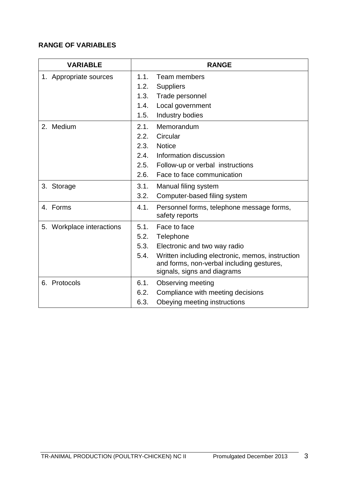| <b>VARIABLE</b>           |      | <b>RANGE</b>                                                                                                                 |
|---------------------------|------|------------------------------------------------------------------------------------------------------------------------------|
| 1. Appropriate sources    | 1.1. | Team members                                                                                                                 |
|                           | 1.2. | <b>Suppliers</b>                                                                                                             |
|                           | 1.3. | Trade personnel                                                                                                              |
|                           | 1.4. | Local government                                                                                                             |
|                           | 1.5. | Industry bodies                                                                                                              |
| 2. Medium                 | 2.1. | Memorandum                                                                                                                   |
|                           | 2.2. | Circular                                                                                                                     |
|                           | 2.3. | <b>Notice</b>                                                                                                                |
|                           | 2.4. | Information discussion                                                                                                       |
|                           | 2.5. | Follow-up or verbal instructions                                                                                             |
|                           | 2.6. | Face to face communication                                                                                                   |
| 3. Storage                | 3.1. | Manual filing system                                                                                                         |
|                           | 3.2. | Computer-based filing system                                                                                                 |
| 4. Forms                  | 4.1. | Personnel forms, telephone message forms,<br>safety reports                                                                  |
| 5. Workplace interactions | 5.1. | Face to face                                                                                                                 |
|                           | 5.2. | Telephone                                                                                                                    |
|                           | 5.3. | Electronic and two way radio                                                                                                 |
|                           | 5.4. | Written including electronic, memos, instruction<br>and forms, non-verbal including gestures,<br>signals, signs and diagrams |
| 6. Protocols              | 6.1. | <b>Observing meeting</b>                                                                                                     |
|                           | 6.2. | Compliance with meeting decisions                                                                                            |
|                           | 6.3. | Obeying meeting instructions                                                                                                 |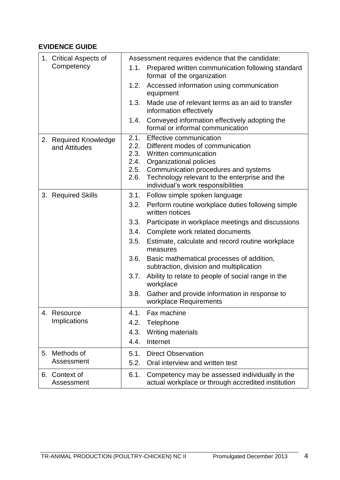| 1. Critical Aspects of                 | Assessment requires evidence that the candidate:                                                                                                                                                                                                                                            |
|----------------------------------------|---------------------------------------------------------------------------------------------------------------------------------------------------------------------------------------------------------------------------------------------------------------------------------------------|
| Competency                             | Prepared written communication following standard<br>1.1.<br>format of the organization                                                                                                                                                                                                     |
|                                        | Accessed information using communication<br>1.2.<br>equipment                                                                                                                                                                                                                               |
|                                        | 1.3.<br>Made use of relevant terms as an aid to transfer<br>information effectively                                                                                                                                                                                                         |
|                                        | Conveyed information effectively adopting the<br>1.4.<br>formal or informal communication                                                                                                                                                                                                   |
| 2. Required Knowledge<br>and Attitudes | 2.1.<br>Effective communication<br>2.2.<br>Different modes of communication<br>2.3. Written communication<br>Organizational policies<br>2.4.<br>2.5.<br>Communication procedures and systems<br>Technology relevant to the enterprise and the<br>2.6.<br>individual's work responsibilities |
| 3. Required Skills                     | Follow simple spoken language<br>3.1.                                                                                                                                                                                                                                                       |
|                                        | Perform routine workplace duties following simple<br>3.2.<br>written notices                                                                                                                                                                                                                |
|                                        | Participate in workplace meetings and discussions<br>3.3.                                                                                                                                                                                                                                   |
|                                        | Complete work related documents<br>3.4.                                                                                                                                                                                                                                                     |
|                                        | Estimate, calculate and record routine workplace<br>3.5.<br>measures                                                                                                                                                                                                                        |
|                                        | 3.6.<br>Basic mathematical processes of addition,<br>subtraction, division and multiplication                                                                                                                                                                                               |
|                                        | Ability to relate to people of social range in the<br>3.7.<br>workplace                                                                                                                                                                                                                     |
|                                        | 3.8.<br>Gather and provide information in response to<br>workplace Requirements                                                                                                                                                                                                             |
| Resource<br>4.                         | Fax machine<br>4.1.                                                                                                                                                                                                                                                                         |
| Implications                           | 4.2.<br>Telephone                                                                                                                                                                                                                                                                           |
|                                        | Writing materials<br>4.3.                                                                                                                                                                                                                                                                   |
|                                        | 4.4.<br>Internet                                                                                                                                                                                                                                                                            |
| Methods of<br>5.                       | <b>Direct Observation</b><br>5.1.                                                                                                                                                                                                                                                           |
| Assessment                             | 5.2.<br>Oral interview and written test                                                                                                                                                                                                                                                     |
| 6. Context of<br>Assessment            | 6.1.<br>Competency may be assessed individually in the<br>actual workplace or through accredited institution                                                                                                                                                                                |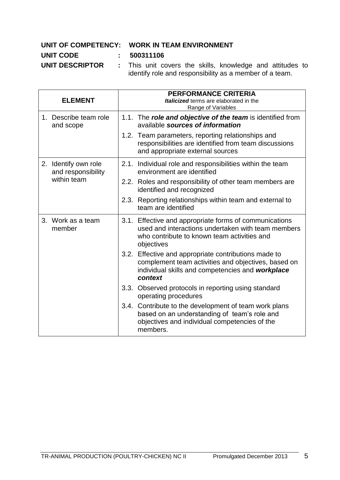#### **UNIT OF COMPETENCY: WORK IN TEAM ENVIRONMENT**

#### **UNIT CODE : 500311106**

**UNIT DESCRIPTOR :** This unit covers the skills, knowledge and attitudes to identify role and responsibility as a member of a team.

| <b>ELEMENT</b>                                            | <b>PERFORMANCE CRITERIA</b><br>Italicized terms are elaborated in the<br>Range of Variables                                                                                   |
|-----------------------------------------------------------|-------------------------------------------------------------------------------------------------------------------------------------------------------------------------------|
| 1. Describe team role<br>and scope                        | 1.1. The role and objective of the team is identified from<br>available sources of information                                                                                |
|                                                           | 1.2. Team parameters, reporting relationships and<br>responsibilities are identified from team discussions<br>and appropriate external sources                                |
| 2. Identify own role<br>and responsibility<br>within team | 2.1. Individual role and responsibilities within the team<br>environment are identified                                                                                       |
|                                                           | 2.2. Roles and responsibility of other team members are<br>identified and recognized                                                                                          |
|                                                           | 2.3. Reporting relationships within team and external to<br>team are identified                                                                                               |
| 3. Work as a team<br>member                               | 3.1. Effective and appropriate forms of communications<br>used and interactions undertaken with team members<br>who contribute to known team activities and<br>objectives     |
|                                                           | Effective and appropriate contributions made to<br>3.2.<br>complement team activities and objectives, based on<br>individual skills and competencies and workplace<br>context |
|                                                           | 3.3.<br>Observed protocols in reporting using standard<br>operating procedures                                                                                                |
|                                                           | 3.4. Contribute to the development of team work plans<br>based on an understanding of team's role and<br>objectives and individual competencies of the<br>members.            |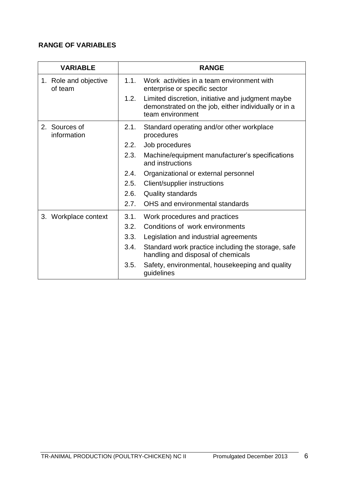| <b>VARIABLE</b>                  | <b>RANGE</b>                                                                                                                          |  |  |  |
|----------------------------------|---------------------------------------------------------------------------------------------------------------------------------------|--|--|--|
| 1. Role and objective<br>of team | 1.1.<br>Work activities in a team environment with<br>enterprise or specific sector                                                   |  |  |  |
|                                  | 1.2.<br>Limited discretion, initiative and judgment maybe<br>demonstrated on the job, either individually or in a<br>team environment |  |  |  |
| 2. Sources of<br>information     | 2.1.<br>Standard operating and/or other workplace<br>procedures                                                                       |  |  |  |
|                                  | 2.2.<br>Job procedures                                                                                                                |  |  |  |
|                                  | 2.3.<br>Machine/equipment manufacturer's specifications<br>and instructions                                                           |  |  |  |
|                                  | 2.4.<br>Organizational or external personnel                                                                                          |  |  |  |
|                                  | 2.5.<br>Client/supplier instructions                                                                                                  |  |  |  |
|                                  | 2.6.<br><b>Quality standards</b>                                                                                                      |  |  |  |
|                                  | OHS and environmental standards<br>2.7.                                                                                               |  |  |  |
| 3. Workplace context             | Work procedures and practices<br>3.1.                                                                                                 |  |  |  |
|                                  | 3.2.<br>Conditions of work environments                                                                                               |  |  |  |
|                                  | 3.3.<br>Legislation and industrial agreements                                                                                         |  |  |  |
|                                  | 3.4.<br>Standard work practice including the storage, safe<br>handling and disposal of chemicals                                      |  |  |  |
|                                  | Safety, environmental, housekeeping and quality<br>3.5.<br>guidelines                                                                 |  |  |  |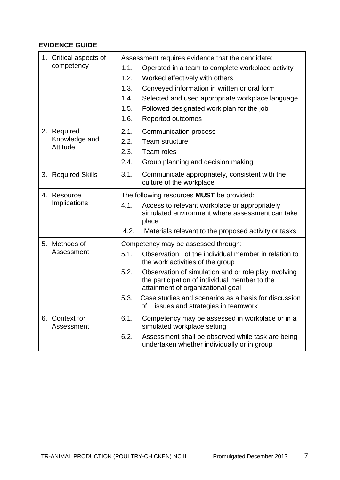| 1. Critical aspects of       | Assessment requires evidence that the candidate:                                                                                                   |
|------------------------------|----------------------------------------------------------------------------------------------------------------------------------------------------|
| competency                   | 1.1.<br>Operated in a team to complete workplace activity                                                                                          |
|                              | 1.2.<br>Worked effectively with others                                                                                                             |
|                              | 1.3.<br>Conveyed information in written or oral form                                                                                               |
|                              | Selected and used appropriate workplace language<br>1.4.                                                                                           |
|                              | 1.5.<br>Followed designated work plan for the job                                                                                                  |
|                              | 1.6.<br><b>Reported outcomes</b>                                                                                                                   |
| 2. Required                  | 2.1.<br>Communication process                                                                                                                      |
| Knowledge and                | 2.2.<br>Team structure                                                                                                                             |
| Attitude                     | 2.3.<br>Team roles                                                                                                                                 |
|                              | 2.4.<br>Group planning and decision making                                                                                                         |
| 3. Required Skills           | 3.1.<br>Communicate appropriately, consistent with the<br>culture of the workplace                                                                 |
| 4. Resource                  | The following resources <b>MUST</b> be provided:                                                                                                   |
| Implications                 | 4.1.<br>Access to relevant workplace or appropriately<br>simulated environment where assessment can take<br>place                                  |
|                              | 4.2.<br>Materials relevant to the proposed activity or tasks                                                                                       |
| Methods of<br>5.             | Competency may be assessed through:                                                                                                                |
| Assessment                   | Observation of the individual member in relation to<br>5.1.<br>the work activities of the group                                                    |
|                              | 5.2.<br>Observation of simulation and or role play involving<br>the participation of individual member to the<br>attainment of organizational goal |
|                              | 5.3.<br>Case studies and scenarios as a basis for discussion<br>of issues and strategies in teamwork                                               |
| 6. Context for<br>Assessment | 6.1.<br>Competency may be assessed in workplace or in a<br>simulated workplace setting                                                             |
|                              | 6.2.<br>Assessment shall be observed while task are being<br>undertaken whether individually or in group                                           |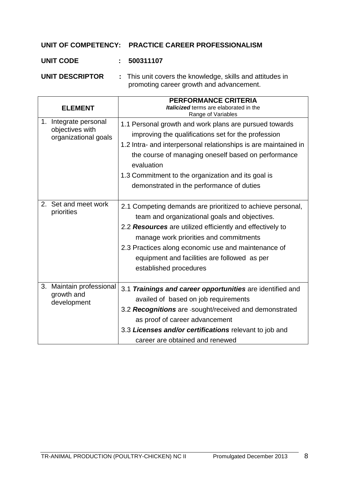#### **UNIT OF COMPETENCY: PRACTICE CAREER PROFESSIONALISM**

#### **UNIT CODE : 500311107**

**UNIT DESCRIPTOR :** This unit covers the knowledge, skills and attitudes in promoting career growth and advancement.

| <b>ELEMENT</b>                                                   | <b>PERFORMANCE CRITERIA</b><br>Italicized terms are elaborated in the<br>Range of Variables                                                                                                                                                                                                                                                              |
|------------------------------------------------------------------|----------------------------------------------------------------------------------------------------------------------------------------------------------------------------------------------------------------------------------------------------------------------------------------------------------------------------------------------------------|
| 1. Integrate personal<br>objectives with<br>organizational goals | 1.1 Personal growth and work plans are pursued towards<br>improving the qualifications set for the profession<br>1.2 Intra- and interpersonal relationships is are maintained in<br>the course of managing oneself based on performance<br>evaluation<br>1.3 Commitment to the organization and its goal is<br>demonstrated in the performance of duties |
| Set and meet work<br>2.<br>priorities                            | 2.1 Competing demands are prioritized to achieve personal,<br>team and organizational goals and objectives.<br>2.2 Resources are utilized efficiently and effectively to<br>manage work priorities and commitments<br>2.3 Practices along economic use and maintenance of<br>equipment and facilities are followed as per<br>established procedures      |
| Maintain professional<br>3.<br>growth and<br>development         | 3.1 Trainings and career opportunities are identified and<br>availed of based on job requirements<br>3.2 Recognitions are -sought/received and demonstrated<br>as proof of career advancement<br>3.3 Licenses and/or certifications relevant to job and<br>career are obtained and renewed                                                               |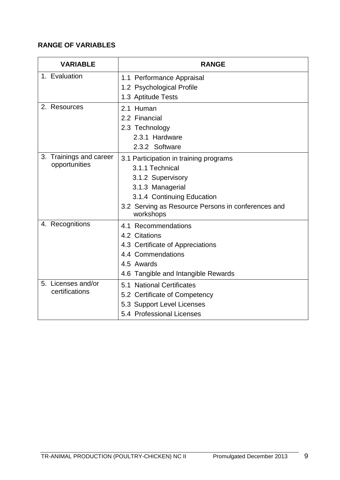| <b>VARIABLE</b>                          | <b>RANGE</b>                                                                                                                                                                                        |  |  |
|------------------------------------------|-----------------------------------------------------------------------------------------------------------------------------------------------------------------------------------------------------|--|--|
| 1. Evaluation                            | 1.1 Performance Appraisal<br>1.2 Psychological Profile<br>1.3 Aptitude Tests                                                                                                                        |  |  |
| 2. Resources                             | 2.1 Human<br>2.2 Financial<br>2.3 Technology<br>2.3.1 Hardware<br>2.3.2 Software                                                                                                                    |  |  |
| 3. Trainings and career<br>opportunities | 3.1 Participation in training programs<br>3.1.1 Technical<br>3.1.2 Supervisory<br>3.1.3 Managerial<br>3.1.4 Continuing Education<br>3.2 Serving as Resource Persons in conferences and<br>workshops |  |  |
| 4. Recognitions                          | 4.1 Recommendations<br>4.2 Citations<br>4.3 Certificate of Appreciations<br>4.4 Commendations<br>4.5 Awards<br>4.6 Tangible and Intangible Rewards                                                  |  |  |
| 5. Licenses and/or<br>certifications     | 5.1 National Certificates<br>5.2 Certificate of Competency<br>5.3 Support Level Licenses<br>5.4 Professional Licenses                                                                               |  |  |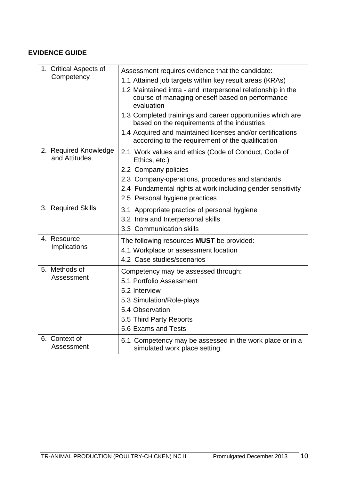| 1. Critical Aspects of<br>Competency   | Assessment requires evidence that the candidate:<br>1.1 Attained job targets within key result areas (KRAs)<br>1.2 Maintained intra - and interpersonal relationship in the<br>course of managing oneself based on performance<br>evaluation<br>1.3 Completed trainings and career opportunities which are<br>based on the requirements of the industries<br>1.4 Acquired and maintained licenses and/or certifications<br>according to the requirement of the qualification |
|----------------------------------------|------------------------------------------------------------------------------------------------------------------------------------------------------------------------------------------------------------------------------------------------------------------------------------------------------------------------------------------------------------------------------------------------------------------------------------------------------------------------------|
| 2. Required Knowledge<br>and Attitudes | 2.1 Work values and ethics (Code of Conduct, Code of<br>Ethics, etc.)<br>2.2 Company policies<br>2.3 Company-operations, procedures and standards<br>2.4 Fundamental rights at work including gender sensitivity<br>2.5 Personal hygiene practices                                                                                                                                                                                                                           |
| 3. Required Skills                     | 3.1 Appropriate practice of personal hygiene<br>3.2 Intra and Interpersonal skills<br>3.3 Communication skills                                                                                                                                                                                                                                                                                                                                                               |
| 4. Resource<br>Implications            | The following resources <b>MUST</b> be provided:<br>4.1 Workplace or assessment location<br>4.2 Case studies/scenarios                                                                                                                                                                                                                                                                                                                                                       |
| 5. Methods of<br>Assessment            | Competency may be assessed through:<br>5.1 Portfolio Assessment<br>5.2 Interview<br>5.3 Simulation/Role-plays<br>5.4 Observation<br>5.5 Third Party Reports<br>5.6 Exams and Tests                                                                                                                                                                                                                                                                                           |
| 6. Context of<br>Assessment            | 6.1 Competency may be assessed in the work place or in a<br>simulated work place setting                                                                                                                                                                                                                                                                                                                                                                                     |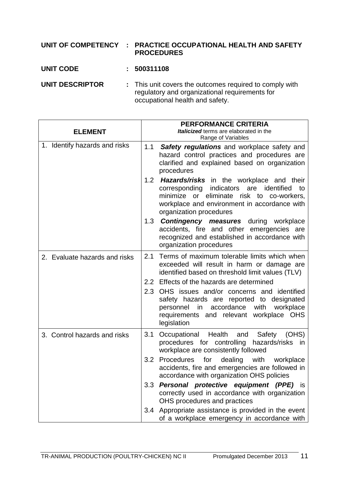#### **UNIT OF COMPETENCY : PRACTICE OCCUPATIONAL HEALTH AND SAFETY PROCEDURES**

#### **UNIT CODE : 500311108**

**UNIT DESCRIPTOR :** This unit covers the outcomes required to comply with regulatory and organizational requirements for occupational health and safety.

|                               | PERFORMANCE CRITERIA                                                                                                                                                                                                               |
|-------------------------------|------------------------------------------------------------------------------------------------------------------------------------------------------------------------------------------------------------------------------------|
| <b>ELEMENT</b>                | Italicized terms are elaborated in the<br>Range of Variables                                                                                                                                                                       |
| 1. Identify hazards and risks | Safety regulations and workplace safety and<br>1.1<br>hazard control practices and procedures are<br>clarified and explained based on organization<br>procedures                                                                   |
|                               | 1.2 <b>Hazards/risks</b> in the workplace and their<br>corresponding indicators<br>identified<br>are<br>to<br>minimize or eliminate risk to co-workers,<br>workplace and environment in accordance with<br>organization procedures |
|                               | 1.3 <b>Contingency measures</b> during workplace<br>accidents, fire and other emergencies are<br>recognized and established in accordance with<br>organization procedures                                                          |
| 2. Evaluate hazards and risks | 2.1 Terms of maximum tolerable limits which when<br>exceeded will result in harm or damage are<br>identified based on threshold limit values (TLV)                                                                                 |
|                               | 2.2 Effects of the hazards are determined                                                                                                                                                                                          |
|                               | 2.3 OHS issues and/or concerns and identified<br>safety hazards are reported to designated<br>personnel in accordance with workplace<br>requirements and relevant workplace OHS<br>legislation                                     |
| 3. Control hazards and risks  | Occupational Health<br>3.1<br>and<br>Safety<br>(OHS)<br>procedures for controlling hazards/risks in<br>workplace are consistently followed                                                                                         |
|                               | for<br>dealing with<br>3.2 Procedures<br>workplace<br>accidents, fire and emergencies are followed in<br>accordance with organization OHS policies                                                                                 |
|                               | 3.3 Personal protective equipment (PPE) is<br>correctly used in accordance with organization<br>OHS procedures and practices                                                                                                       |
|                               | 3.4 Appropriate assistance is provided in the event<br>of a workplace emergency in accordance with                                                                                                                                 |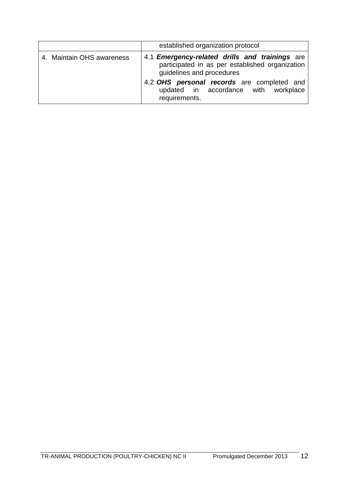|                           | established organization protocol                                                                                                                                                                                           |
|---------------------------|-----------------------------------------------------------------------------------------------------------------------------------------------------------------------------------------------------------------------------|
| 4. Maintain OHS awareness | 4.1 <b>Emergency-related drills and trainings</b> are<br>participated in as per established organization<br>guidelines and procedures<br>4.2 OHS personal records are completed and<br>updated in accordance with workplace |
|                           | requirements.                                                                                                                                                                                                               |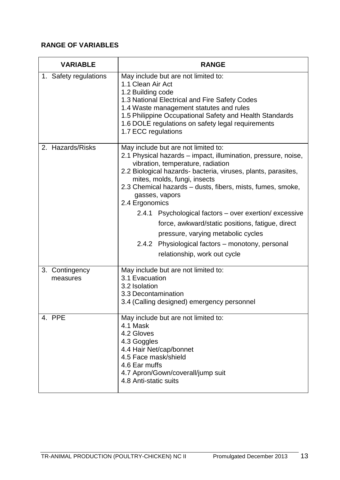| <b>VARIABLE</b>            | <b>RANGE</b>                                                                                                                                                                                                                                                                                                                                                                                                                                                                                                                                                                         |
|----------------------------|--------------------------------------------------------------------------------------------------------------------------------------------------------------------------------------------------------------------------------------------------------------------------------------------------------------------------------------------------------------------------------------------------------------------------------------------------------------------------------------------------------------------------------------------------------------------------------------|
| 1. Safety regulations      | May include but are not limited to:<br>1.1 Clean Air Act<br>1.2 Building code<br>1.3 National Electrical and Fire Safety Codes<br>1.4 Waste management statutes and rules<br>1.5 Philippine Occupational Safety and Health Standards<br>1.6 DOLE regulations on safety legal requirements<br>1.7 ECC regulations                                                                                                                                                                                                                                                                     |
| 2. Hazards/Risks           | May include but are not limited to:<br>2.1 Physical hazards – impact, illumination, pressure, noise,<br>vibration, temperature, radiation<br>2.2 Biological hazards- bacteria, viruses, plants, parasites,<br>mites, molds, fungi, insects<br>2.3 Chemical hazards – dusts, fibers, mists, fumes, smoke,<br>gasses, vapors<br>2.4 Ergonomics<br>2.4.1 Psychological factors – over exertion/ excessive<br>force, awkward/static positions, fatigue, direct<br>pressure, varying metabolic cycles<br>2.4.2 Physiological factors – monotony, personal<br>relationship, work out cycle |
| 3. Contingency<br>measures | May include but are not limited to:<br>3.1 Evacuation<br>3.2 Isolation<br>3.3 Decontamination<br>3.4 (Calling designed) emergency personnel                                                                                                                                                                                                                                                                                                                                                                                                                                          |
| 4. PPE                     | May include but are not limited to:<br>4.1 Mask<br>4.2 Gloves<br>4.3 Goggles<br>4.4 Hair Net/cap/bonnet<br>4.5 Face mask/shield<br>4.6 Ear muffs<br>4.7 Apron/Gown/coverall/jump suit<br>4.8 Anti-static suits                                                                                                                                                                                                                                                                                                                                                                       |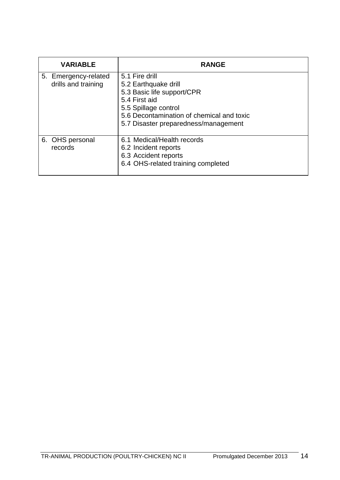| <b>VARIABLE</b>                             | <b>RANGE</b>                                                                                                                                                                                       |
|---------------------------------------------|----------------------------------------------------------------------------------------------------------------------------------------------------------------------------------------------------|
| 5. Emergency-related<br>drills and training | 5.1 Fire drill<br>5.2 Earthquake drill<br>5.3 Basic life support/CPR<br>5.4 First aid<br>5.5 Spillage control<br>5.6 Decontamination of chemical and toxic<br>5.7 Disaster preparedness/management |
| 6. OHS personal<br>records                  | 6.1 Medical/Health records<br>6.2 Incident reports<br>6.3 Accident reports<br>6.4 OHS-related training completed                                                                                   |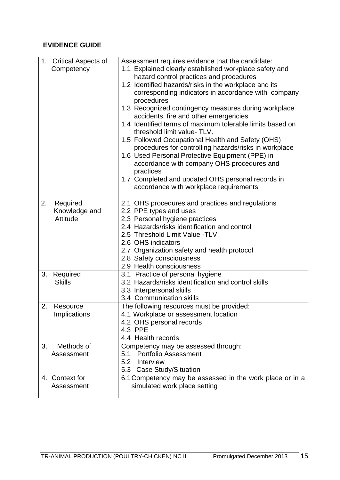| 1.                                       |                                                                                                            |
|------------------------------------------|------------------------------------------------------------------------------------------------------------|
| <b>Critical Aspects of</b><br>Competency | Assessment requires evidence that the candidate:<br>1.1 Explained clearly established workplace safety and |
|                                          | hazard control practices and procedures                                                                    |
|                                          | 1.2 Identified hazards/risks in the workplace and its                                                      |
|                                          | corresponding indicators in accordance with company                                                        |
|                                          | procedures                                                                                                 |
|                                          | 1.3 Recognized contingency measures during workplace                                                       |
|                                          | accidents, fire and other emergencies                                                                      |
|                                          | 1.4 Identified terms of maximum tolerable limits based on                                                  |
|                                          | threshold limit value-TLV.                                                                                 |
|                                          | 1.5 Followed Occupational Health and Safety (OHS)                                                          |
|                                          | procedures for controlling hazards/risks in workplace                                                      |
|                                          | 1.6 Used Personal Protective Equipment (PPE) in                                                            |
|                                          | accordance with company OHS procedures and                                                                 |
|                                          | practices                                                                                                  |
|                                          | 1.7 Completed and updated OHS personal records in<br>accordance with workplace requirements                |
|                                          |                                                                                                            |
| 2.<br>Required                           | 2.1 OHS procedures and practices and regulations                                                           |
| Knowledge and                            | 2.2 PPE types and uses                                                                                     |
| <b>Attitude</b>                          | 2.3 Personal hygiene practices                                                                             |
|                                          | 2.4 Hazards/risks identification and control                                                               |
|                                          | 2.5 Threshold Limit Value -TLV                                                                             |
|                                          | 2.6 OHS indicators                                                                                         |
|                                          | 2.7 Organization safety and health protocol                                                                |
|                                          | 2.8 Safety consciousness                                                                                   |
|                                          | 2.9 Health consciousness                                                                                   |
| 3.<br>Required                           | 3.1 Practice of personal hygiene                                                                           |
| <b>Skills</b>                            | 3.2 Hazards/risks identification and control skills                                                        |
|                                          | 3.3 Interpersonal skills                                                                                   |
|                                          | 3.4 Communication skills                                                                                   |
| 2.<br>Resource                           | The following resources must be provided:                                                                  |
| Implications                             | 4.1 Workplace or assessment location                                                                       |
|                                          | 4.2 OHS personal records                                                                                   |
|                                          | 4.3 PPE<br>4.4 Health records                                                                              |
| Methods of<br>3.                         | Competency may be assessed through:                                                                        |
| Assessment                               | <b>Portfolio Assessment</b><br>5.1                                                                         |
|                                          | Interview<br>5.2                                                                                           |
|                                          | 5.3 Case Study/Situation                                                                                   |
| 4. Context for                           | 6.1 Competency may be assessed in the work place or in a                                                   |
| Assessment                               | simulated work place setting                                                                               |
|                                          |                                                                                                            |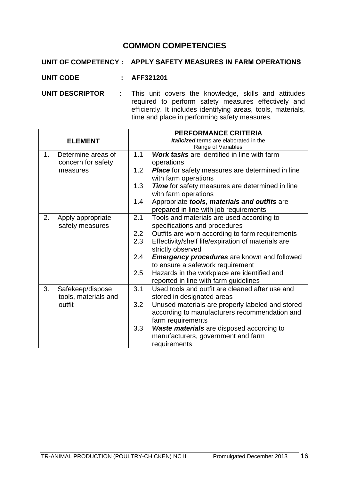#### **COMMON COMPETENCIES**

#### **UNIT OF COMPETENCY : APPLY SAFETY MEASURES IN FARM OPERATIONS**

- **UNIT CODE : AFF321201**
- **UNIT DESCRIPTOR** : This unit covers the knowledge, skills and attitudes required to perform safety measures effectively and efficiently. It includes identifying areas, tools, materials, time and place in performing safety measures.

|                |                                          | <b>PERFORMANCE CRITERIA</b>            |                                                                                                                        |  |
|----------------|------------------------------------------|----------------------------------------|------------------------------------------------------------------------------------------------------------------------|--|
| <b>ELEMENT</b> |                                          | Italicized terms are elaborated in the |                                                                                                                        |  |
|                |                                          |                                        | Range of Variables                                                                                                     |  |
| 1.             | Determine areas of                       | 1.1                                    | Work tasks are identified in line with farm                                                                            |  |
|                | concern for safety                       |                                        | operations                                                                                                             |  |
|                | measures                                 | 1.2                                    | <b>Place</b> for safety measures are determined in line<br>with farm operations                                        |  |
|                |                                          | 1.3                                    | Time for safety measures are determined in line                                                                        |  |
|                |                                          |                                        | with farm operations                                                                                                   |  |
|                |                                          | 1.4                                    | Appropriate tools, materials and outfits are<br>prepared in line with job requirements                                 |  |
| 2.             | Apply appropriate                        | 2.1                                    | Tools and materials are used according to                                                                              |  |
|                | safety measures                          |                                        | specifications and procedures                                                                                          |  |
|                |                                          | 2.2                                    | Outfits are worn according to farm requirements                                                                        |  |
|                |                                          | 2.3                                    | Effectivity/shelf life/expiration of materials are                                                                     |  |
|                |                                          |                                        | strictly observed                                                                                                      |  |
|                |                                          | 2.4                                    | <b>Emergency procedures</b> are known and followed<br>to ensure a safework requirement                                 |  |
|                |                                          | 2.5                                    | Hazards in the workplace are identified and                                                                            |  |
|                |                                          |                                        | reported in line with farm guidelines                                                                                  |  |
| 3.             | Safekeep/dispose<br>tools, materials and | 3.1                                    | Used tools and outfit are cleaned after use and<br>stored in designated areas                                          |  |
|                | outfit                                   | 3.2                                    | Unused materials are properly labeled and stored<br>according to manufacturers recommendation and<br>farm requirements |  |
|                |                                          | 3.3                                    | <b>Waste materials</b> are disposed according to                                                                       |  |
|                |                                          |                                        | manufacturers, government and farm                                                                                     |  |
|                |                                          |                                        | requirements                                                                                                           |  |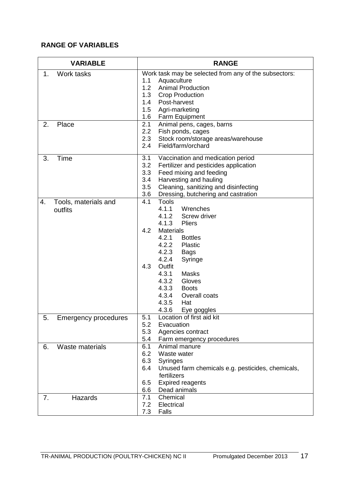|    | <b>VARIABLE</b>             |            | <b>RANGE</b>                                          |
|----|-----------------------------|------------|-------------------------------------------------------|
| 1. | Work tasks                  |            | Work task may be selected from any of the subsectors: |
|    |                             | 1.1        | Aquaculture                                           |
|    |                             | 1.2        | <b>Animal Production</b>                              |
|    |                             | 1.3        | <b>Crop Production</b>                                |
|    |                             | 1.4        | Post-harvest                                          |
|    |                             | 1.5        | Agri-marketing                                        |
|    |                             | 1.6        | Farm Equipment                                        |
| 2. | Place                       | 2.1        | Animal pens, cages, barns                             |
|    |                             | 2.2        | Fish ponds, cages                                     |
|    |                             | 2.3        | Stock room/storage areas/warehouse                    |
|    |                             | 2.4        | Field/farm/orchard                                    |
| 3. | Time                        | 3.1        | Vaccination and medication period                     |
|    |                             | 3.2        | Fertilizer and pesticides application                 |
|    |                             | 3.3        | Feed mixing and feeding                               |
|    |                             | 3.4        | Harvesting and hauling                                |
|    |                             | 3.5        | Cleaning, sanitizing and disinfecting                 |
|    |                             | 3.6        | Dressing, butchering and castration                   |
| 4. | Tools, materials and        | 4.1        | <b>Tools</b>                                          |
|    | outfits                     |            | 4.1.1<br>Wrenches                                     |
|    |                             |            | 4.1.2<br>Screw driver                                 |
|    |                             | 4.2        | 4.1.3<br><b>Pliers</b>                                |
|    |                             |            | <b>Materials</b>                                      |
|    |                             |            | 4.2.1<br><b>Bottles</b><br>4.2.2                      |
|    |                             |            | <b>Plastic</b><br>4.2.3                               |
|    |                             |            | <b>Bags</b><br>4.2.4                                  |
|    |                             | 4.3        | Syringe<br>Outfit                                     |
|    |                             |            | 4.3.1<br><b>Masks</b>                                 |
|    |                             |            | 4.3.2<br>Gloves                                       |
|    |                             |            | 4.3.3<br><b>Boots</b>                                 |
|    |                             |            | 4.3.4<br>Overall coats                                |
|    |                             |            | 4.3.5<br>Hat                                          |
|    |                             |            | 4.3.6<br>Eye goggles                                  |
| 5. | <b>Emergency procedures</b> | 5.1        | Location of first aid kit                             |
|    |                             | 5.2        | Evacuation                                            |
|    |                             | 5.3        | Agencies contract                                     |
|    |                             | 5.4        | Farm emergency procedures                             |
| 6. | Waste materials             | 6.1        | Animal manure                                         |
|    |                             | 6.2        | Waste water                                           |
|    |                             | 6.3        | <b>Syringes</b>                                       |
|    |                             | 6.4        | Unused farm chemicals e.g. pesticides, chemicals,     |
|    |                             |            | fertilizers                                           |
|    |                             | 6.5        | <b>Expired reagents</b>                               |
|    |                             | 6.6        | Dead animals                                          |
| 7. | Hazards                     | 7.1<br>7.2 | Chemical                                              |
|    |                             |            | Electrical                                            |
|    |                             | 7.3        | Falls                                                 |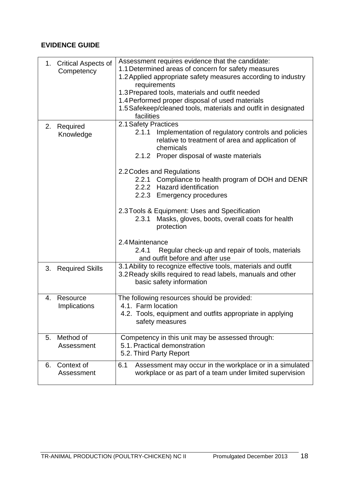| 1. Critical Aspects of<br>Competency | Assessment requires evidence that the candidate:<br>1.1 Determined areas of concern for safety measures<br>1.2 Applied appropriate safety measures according to industry<br>requirements<br>1.3 Prepared tools, materials and outfit needed<br>1.4 Performed proper disposal of used materials<br>1.5 Safekeep/cleaned tools, materials and outfit in designated<br>facilities                                                                                                                                                                                                               |  |  |
|--------------------------------------|----------------------------------------------------------------------------------------------------------------------------------------------------------------------------------------------------------------------------------------------------------------------------------------------------------------------------------------------------------------------------------------------------------------------------------------------------------------------------------------------------------------------------------------------------------------------------------------------|--|--|
| 2.<br>Required<br>Knowledge          | 2.1 Safety Practices<br>Implementation of regulatory controls and policies<br>2.1.1<br>relative to treatment of area and application of<br>chemicals<br>2.1.2 Proper disposal of waste materials<br>2.2 Codes and Regulations<br>2.2.1 Compliance to health program of DOH and DENR<br>2.2.2 Hazard identification<br>2.2.3 Emergency procedures<br>2.3 Tools & Equipment: Uses and Specification<br>Masks, gloves, boots, overall coats for health<br>2.3.1<br>protection<br>2.4 Maintenance<br>Regular check-up and repair of tools, materials<br>2.4.1<br>and outfit before and after use |  |  |
| <b>Required Skills</b><br>3.         | 3.1 Ability to recognize effective tools, materials and outfit<br>3.2 Ready skills required to read labels, manuals and other<br>basic safety information                                                                                                                                                                                                                                                                                                                                                                                                                                    |  |  |
| Resource<br>4.<br>Implications       | The following resources should be provided:<br>4.1. Farm location<br>4.2. Tools, equipment and outfits appropriate in applying<br>safety measures                                                                                                                                                                                                                                                                                                                                                                                                                                            |  |  |
| Method of<br>5.<br>Assessment        | Competency in this unit may be assessed through:<br>5.1. Practical demonstration<br>5.2. Third Party Report                                                                                                                                                                                                                                                                                                                                                                                                                                                                                  |  |  |
| Context of<br>6.<br>Assessment       | Assessment may occur in the workplace or in a simulated<br>6.1<br>workplace or as part of a team under limited supervision                                                                                                                                                                                                                                                                                                                                                                                                                                                                   |  |  |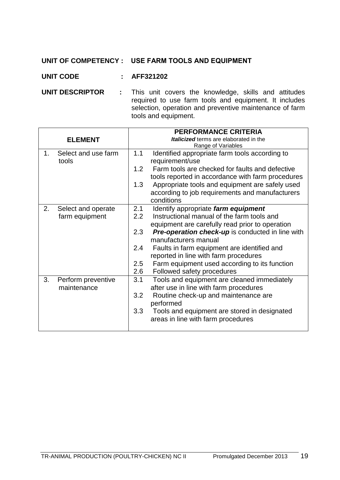#### **UNIT OF COMPETENCY : USE FARM TOOLS AND EQUIPMENT**

#### **UNIT CODE : AFF321202**

**UNIT DESCRIPTOR** : This unit covers the knowledge, skills and attitudes required to use farm tools and equipment. It includes selection, operation and preventive maintenance of farm tools and equipment.

|    |                     | <b>PERFORMANCE CRITERIA</b> |                                                         |  |
|----|---------------------|-----------------------------|---------------------------------------------------------|--|
|    | <b>ELEMENT</b>      |                             | Italicized terms are elaborated in the                  |  |
|    |                     |                             | Range of Variables                                      |  |
| 1. | Select and use farm | 1.1                         | Identified appropriate farm tools according to          |  |
|    | tools               |                             | requirement/use                                         |  |
|    |                     | 1.2                         | Farm tools are checked for faults and defective         |  |
|    |                     |                             | tools reported in accordance with farm procedures       |  |
|    |                     | 1.3                         | Appropriate tools and equipment are safely used         |  |
|    |                     |                             | according to job requirements and manufacturers         |  |
|    |                     |                             | conditions                                              |  |
| 2. | Select and operate  | 2.1                         | Identify appropriate farm equipment                     |  |
|    | farm equipment      | 2.2                         | Instructional manual of the farm tools and              |  |
|    |                     |                             | equipment are carefully read prior to operation         |  |
|    |                     | 2.3                         | <b>Pre-operation check-up</b> is conducted in line with |  |
|    |                     |                             | manufacturers manual                                    |  |
|    |                     | 2.4                         | Faults in farm equipment are identified and             |  |
|    |                     |                             | reported in line with farm procedures                   |  |
|    |                     | 2.5                         | Farm equipment used according to its function           |  |
|    |                     | 2.6                         | Followed safety procedures                              |  |
| 3. | Perform preventive  | 3.1                         | Tools and equipment are cleaned immediately             |  |
|    | maintenance         |                             | after use in line with farm procedures                  |  |
|    |                     | 3.2                         | Routine check-up and maintenance are                    |  |
|    |                     |                             | performed                                               |  |
|    |                     | 3.3                         | Tools and equipment are stored in designated            |  |
|    |                     |                             | areas in line with farm procedures                      |  |
|    |                     |                             |                                                         |  |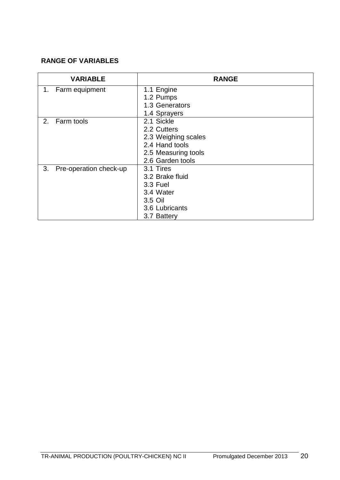|    | <b>VARIABLE</b>        | <b>RANGE</b>        |
|----|------------------------|---------------------|
|    | 1. Farm equipment      | 1.1 Engine          |
|    |                        | 1.2 Pumps           |
|    |                        | 1.3 Generators      |
|    |                        | 1.4 Sprayers        |
| 2. | Farm tools             | 2.1 Sickle          |
|    |                        | 2.2 Cutters         |
|    |                        | 2.3 Weighing scales |
|    |                        | 2.4 Hand tools      |
|    |                        | 2.5 Measuring tools |
|    |                        | 2.6 Garden tools    |
| 3. | Pre-operation check-up | 3.1 Tires           |
|    |                        | 3.2 Brake fluid     |
|    |                        | 3.3 Fuel            |
|    |                        | 3.4 Water           |
|    |                        | 3.5 Oil             |
|    |                        | 3.6 Lubricants      |
|    |                        | 3.7 Battery         |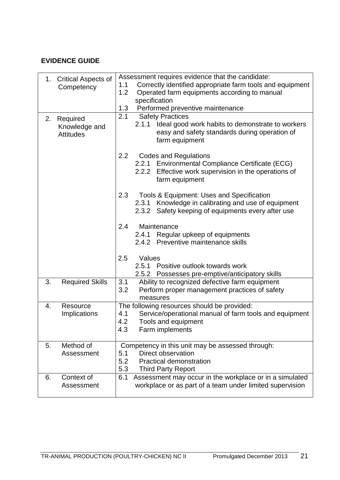|    | 1. Critical Aspects of            | Assessment requires evidence that the candidate:                                                                          |  |  |
|----|-----------------------------------|---------------------------------------------------------------------------------------------------------------------------|--|--|
|    | Competency                        | 1.1<br>Correctly identified appropriate farm tools and equipment                                                          |  |  |
|    |                                   | 1.2<br>Operated farm equipments according to manual                                                                       |  |  |
|    |                                   | specification                                                                                                             |  |  |
|    |                                   | 1.3<br>Performed preventive maintenance                                                                                   |  |  |
| 2. | Required                          | <b>Safety Practices</b><br>2.1                                                                                            |  |  |
|    | Knowledge and<br><b>Attitudes</b> | 2.1.1 Ideal good work habits to demonstrate to workers<br>easy and safety standards during operation of<br>farm equipment |  |  |
|    |                                   | 2.2<br><b>Codes and Regulations</b>                                                                                       |  |  |
|    |                                   | 2.2.1 Environmental Compliance Certificate (ECG)                                                                          |  |  |
|    |                                   | 2.2.2 Effective work supervision in the operations of                                                                     |  |  |
|    |                                   | farm equipment                                                                                                            |  |  |
|    |                                   | 2.3<br>Tools & Equipment: Uses and Specification                                                                          |  |  |
|    |                                   | 2.3.1 Knowledge in calibrating and use of equipment                                                                       |  |  |
|    |                                   | 2.3.2 Safety keeping of equipments every after use                                                                        |  |  |
|    |                                   | 2.4<br>Maintenance                                                                                                        |  |  |
|    |                                   | 2.4.1 Regular upkeep of equipments                                                                                        |  |  |
|    |                                   | 2.4.2 Preventive maintenance skills                                                                                       |  |  |
|    |                                   |                                                                                                                           |  |  |
|    |                                   | 2.5<br>Values                                                                                                             |  |  |
|    |                                   | 2.5.1 Positive outlook towards work                                                                                       |  |  |
|    |                                   | 2.5.2 Possesses pre-emptive/anticipatory skills                                                                           |  |  |
| 3. | <b>Required Skills</b>            | Ability to recognized defective farm equipment<br>3.1                                                                     |  |  |
|    |                                   | 3.2<br>Perform proper management practices of safety                                                                      |  |  |
|    |                                   | measures                                                                                                                  |  |  |
| 4. | Resource                          | The following resources should be provided:                                                                               |  |  |
|    | Implications                      | Service/operational manual of farm tools and equipment<br>4.1                                                             |  |  |
|    |                                   | 4.2<br>Tools and equipment                                                                                                |  |  |
|    |                                   | 4.3<br>Farm implements                                                                                                    |  |  |
| 5. | Method of                         | Competency in this unit may be assessed through:                                                                          |  |  |
|    | Assessment                        | Direct observation<br>5.1                                                                                                 |  |  |
|    |                                   | 5.2<br><b>Practical demonstration</b>                                                                                     |  |  |
|    |                                   | 5.3<br><b>Third Party Report</b>                                                                                          |  |  |
| 6. | Context of                        | Assessment may occur in the workplace or in a simulated<br>6.1                                                            |  |  |
|    | Assessment                        | workplace or as part of a team under limited supervision                                                                  |  |  |
|    |                                   |                                                                                                                           |  |  |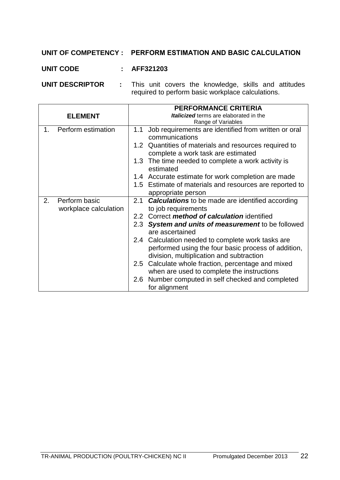#### **UNIT OF COMPETENCY : PERFORM ESTIMATION AND BASIC CALCULATION**

#### **UNIT CODE : AFF321203**

**UNIT DESCRIPTOR :** This unit covers the knowledge, skills and attitudes required to perform basic workplace calculations.

|                                              | <b>PERFORMANCE CRITERIA</b>                                                                                                                          |  |
|----------------------------------------------|------------------------------------------------------------------------------------------------------------------------------------------------------|--|
| <b>ELEMENT</b>                               | <b>Italicized</b> terms are elaborated in the                                                                                                        |  |
|                                              | Range of Variables                                                                                                                                   |  |
| Perform estimation<br>1.                     | Job requirements are identified from written or oral<br>1.1<br>communications                                                                        |  |
|                                              | 1.2 Quantities of materials and resources required to<br>complete a work task are estimated                                                          |  |
|                                              | The time needed to complete a work activity is<br>1.3<br>estimated                                                                                   |  |
|                                              | 1.4 Accurate estimate for work completion are made                                                                                                   |  |
|                                              | 1.5 Estimate of materials and resources are reported to<br>appropriate person                                                                        |  |
| Perform basic<br>2.<br>workplace calculation | 2.1<br><b>Calculations</b> to be made are identified according<br>to job requirements                                                                |  |
|                                              | 2.2 Correct method of calculation identified                                                                                                         |  |
|                                              | 2.3 System and units of measurement to be followed<br>are ascertained                                                                                |  |
|                                              | 2.4 Calculation needed to complete work tasks are<br>performed using the four basic process of addition,<br>division, multiplication and subtraction |  |
|                                              | Calculate whole fraction, percentage and mixed<br>2.5<br>when are used to complete the instructions                                                  |  |
|                                              | Number computed in self checked and completed<br>2.6<br>for alignment                                                                                |  |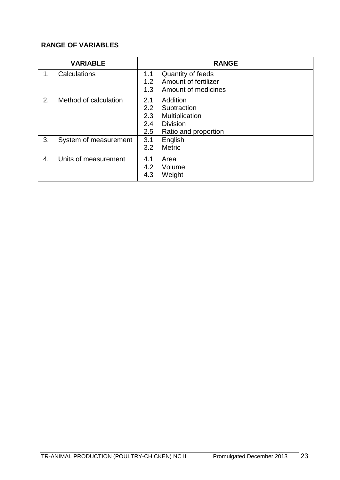|    | <b>VARIABLE</b>       |            | <b>RANGE</b>                                     |
|----|-----------------------|------------|--------------------------------------------------|
| 1. | Calculations          | 1.1<br>1.2 | <b>Quantity of feeds</b><br>Amount of fertilizer |
|    |                       | 1.3        | Amount of medicines                              |
| 2. | Method of calculation | 2.1        | Addition                                         |
|    |                       | 2.2        | Subtraction                                      |
|    |                       | 2.3        | Multiplication                                   |
|    |                       | 2.4        | <b>Division</b>                                  |
|    |                       | 2.5        | Ratio and proportion                             |
| 3. | System of measurement | 3.1        | English                                          |
|    |                       | 3.2        | <b>Metric</b>                                    |
| 4. | Units of measurement  | 4.1        | Area                                             |
|    |                       | 4.2        | Volume                                           |
|    |                       | 4.3        | Weight                                           |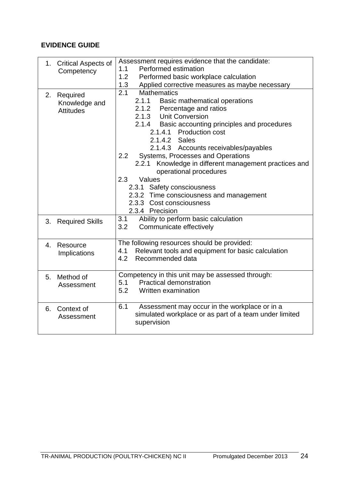|    | 1. Critical Aspects of<br>Competency             | Assessment requires evidence that the candidate:<br>Performed estimation<br>1.1<br>1.2<br>Performed basic workplace calculation                                                                                                                                                                                                                                                                                                                                                                                                           |
|----|--------------------------------------------------|-------------------------------------------------------------------------------------------------------------------------------------------------------------------------------------------------------------------------------------------------------------------------------------------------------------------------------------------------------------------------------------------------------------------------------------------------------------------------------------------------------------------------------------------|
|    |                                                  | Applied corrective measures as maybe necessary<br>1.3                                                                                                                                                                                                                                                                                                                                                                                                                                                                                     |
|    | 2. Required<br>Knowledge and<br><b>Attitudes</b> | 2.1<br><b>Mathematics</b><br>2.1.1 Basic mathematical operations<br>2.1.2 Percentage and ratios<br>2.1.3 Unit Conversion<br>2.1.4 Basic accounting principles and procedures<br>2.1.4.1 Production cost<br>2.1.4.2 Sales<br>2.1.4.3 Accounts receivables/payables<br>Systems, Processes and Operations<br>2.2<br>2.2.1 Knowledge in different management practices and<br>operational procedures<br>Values<br>2.3<br>2.3.1 Safety consciousness<br>2.3.2 Time consciousness and management<br>2.3.3 Cost consciousness<br>2.3.4 Precision |
|    | 3. Required Skills                               | Ability to perform basic calculation<br>3.1<br>Communicate effectively<br>3.2                                                                                                                                                                                                                                                                                                                                                                                                                                                             |
| 4. | Resource<br>Implications                         | The following resources should be provided:<br>Relevant tools and equipment for basic calculation<br>4.1<br>4.2<br>Recommended data                                                                                                                                                                                                                                                                                                                                                                                                       |
| 5. | Method of<br>Assessment                          | Competency in this unit may be assessed through:<br><b>Practical demonstration</b><br>5.1<br>5.2<br>Written examination                                                                                                                                                                                                                                                                                                                                                                                                                   |
|    | 6. Context of<br>Assessment                      | Assessment may occur in the workplace or in a<br>6.1<br>simulated workplace or as part of a team under limited<br>supervision                                                                                                                                                                                                                                                                                                                                                                                                             |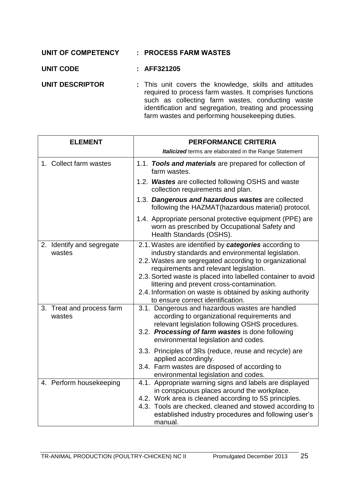| UNIT OF COMPETENCY     | : PROCESS FARM WASTES                                                                                                                                                                                                                                                               |
|------------------------|-------------------------------------------------------------------------------------------------------------------------------------------------------------------------------------------------------------------------------------------------------------------------------------|
| <b>UNIT CODE</b>       | : AFF321205                                                                                                                                                                                                                                                                         |
| <b>UNIT DESCRIPTOR</b> | : This unit covers the knowledge, skills and attitudes<br>required to process farm wastes. It comprises functions<br>such as collecting farm wastes, conducting waste<br>identification and segregation, treating and processing<br>farm wastes and performing housekeeping duties. |

| <b>ELEMENT</b>                      | PERFORMANCE CRITERIA                                                                                                                                                                                                                                                                                                                                                                                                           |
|-------------------------------------|--------------------------------------------------------------------------------------------------------------------------------------------------------------------------------------------------------------------------------------------------------------------------------------------------------------------------------------------------------------------------------------------------------------------------------|
|                                     | <b>Italicized</b> terms are elaborated in the Range Statement                                                                                                                                                                                                                                                                                                                                                                  |
| 1. Collect farm wastes              | 1.1. Tools and materials are prepared for collection of<br>farm wastes.                                                                                                                                                                                                                                                                                                                                                        |
|                                     | 1.2. Wastes are collected following OSHS and waste<br>collection requirements and plan.                                                                                                                                                                                                                                                                                                                                        |
|                                     | 1.3. Dangerous and hazardous wastes are collected<br>following the HAZMAT(hazardous material) protocol.                                                                                                                                                                                                                                                                                                                        |
|                                     | 1.4. Appropriate personal protective equipment (PPE) are<br>worn as prescribed by Occupational Safety and<br>Health Standards (OSHS).                                                                                                                                                                                                                                                                                          |
| 2. Identify and segregate<br>wastes | 2.1. Wastes are identified by categories according to<br>industry standards and environmental legislation.<br>2.2. Wastes are segregated according to organizational<br>requirements and relevant legislation.<br>2.3. Sorted waste is placed into labelled container to avoid<br>littering and prevent cross-contamination.<br>2.4. Information on waste is obtained by asking authority<br>to ensure correct identification. |
| 3. Treat and process farm<br>wastes | 3.1. Dangerous and hazardous wastes are handled<br>according to organizational requirements and<br>relevant legislation following OSHS procedures.<br>3.2. Processing of farm wastes is done following<br>environmental legislation and codes.<br>3.3. Principles of 3Rs (reduce, reuse and recycle) are                                                                                                                       |
|                                     | applied accordingly.<br>3.4. Farm wastes are disposed of according to<br>environmental legislation and codes.                                                                                                                                                                                                                                                                                                                  |
| 4. Perform housekeeping             | 4.1. Appropriate warning signs and labels are displayed<br>in conspicuous places around the workplace.<br>4.2. Work area is cleaned according to 5S principles.<br>4.3. Tools are checked, cleaned and stowed according to<br>established industry procedures and following user's<br>manual.                                                                                                                                  |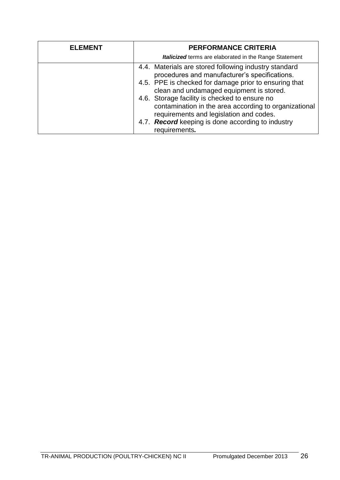| procedures and manufacturer's specifications.<br>clean and undamaged equipment is stored.<br>4.6. Storage facility is checked to ensure no<br>requirements and legislation and codes.<br>4.7. Record keeping is done according to industry<br>requirements. | <b>Italicized</b> terms are elaborated in the Range Statement<br>4.4. Materials are stored following industry standard<br>4.5. PPE is checked for damage prior to ensuring that<br>contamination in the area according to organizational |  |
|-------------------------------------------------------------------------------------------------------------------------------------------------------------------------------------------------------------------------------------------------------------|------------------------------------------------------------------------------------------------------------------------------------------------------------------------------------------------------------------------------------------|--|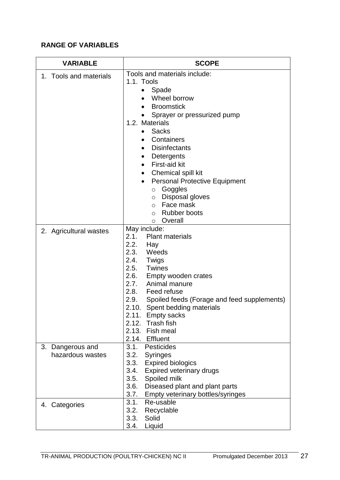| <b>VARIABLE</b>                         | <b>SCOPE</b>                                                                                                                                                                                                                                                                                                                                                                                                                                                                              |
|-----------------------------------------|-------------------------------------------------------------------------------------------------------------------------------------------------------------------------------------------------------------------------------------------------------------------------------------------------------------------------------------------------------------------------------------------------------------------------------------------------------------------------------------------|
| 1. Tools and materials                  | Tools and materials include:<br>1.1. Tools<br>Spade<br>Wheel borrow<br><b>Broomstick</b><br>Sprayer or pressurized pump<br>1.2. Materials<br><b>Sacks</b><br>Containers<br>$\bullet$<br><b>Disinfectants</b><br>Detergents<br>٠<br>First-aid kit<br>$\bullet$<br>Chemical spill kit<br>$\bullet$<br><b>Personal Protective Equipment</b><br>$\bullet$<br>Goggles<br>$\circ$<br>Disposal gloves<br>$\circ$<br>Face mask<br>$\circ$<br><b>Rubber boots</b><br>$\circ$<br>Overall<br>$\circ$ |
| 2. Agricultural wastes                  | May include:<br>2.1.<br><b>Plant materials</b><br>2.2.<br>Hay<br>2.3. Weeds<br>2.4.<br>Twigs<br>2.5.<br><b>Twines</b><br>2.6. Empty wooden crates<br>Animal manure<br>2.7.<br>2.8. Feed refuse<br>2.9.<br>Spoiled feeds (Forage and feed supplements)<br>2.10.<br>Spent bedding materials<br>2.11. Empty sacks<br><b>Trash fish</b><br>2.12.<br>2.13.<br>Fish meal<br>2.14. Effluent                                                                                                      |
| Dangerous and<br>3.<br>hazardous wastes | 3.1.<br><b>Pesticides</b><br>3.2.<br><b>Syringes</b><br>3.3.<br><b>Expired biologics</b><br><b>Expired veterinary drugs</b><br>3.4.<br>3.5.<br>Spoiled milk<br>3.6.<br>Diseased plant and plant parts<br>3.7.<br>Empty veterinary bottles/syringes                                                                                                                                                                                                                                        |
| 4. Categories                           | 3.1.<br>Re-usable<br>3.2.<br>Recyclable<br>Solid<br>3.3.<br>3.4.<br>Liquid                                                                                                                                                                                                                                                                                                                                                                                                                |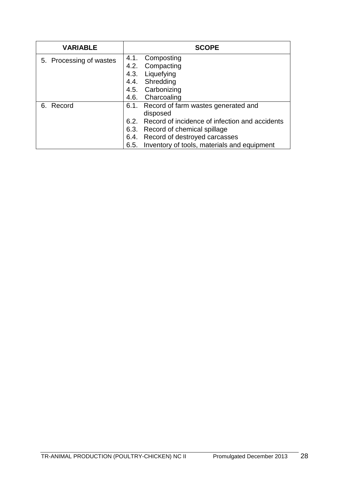| <b>VARIABLE</b>         | <b>SCOPE</b>                                        |
|-------------------------|-----------------------------------------------------|
| 5. Processing of wastes | 4.1. Composting                                     |
|                         | 4.2. Compacting                                     |
|                         | 4.3. Liquefying                                     |
|                         | 4.4. Shredding                                      |
|                         | 4.5. Carbonizing                                    |
|                         | 4.6. Charcoaling                                    |
| 6. Record               | 6.1. Record of farm wastes generated and            |
|                         | disposed                                            |
|                         | 6.2. Record of incidence of infection and accidents |
|                         | 6.3. Record of chemical spillage                    |
|                         | 6.4. Record of destroyed carcasses                  |
|                         | 6.5. Inventory of tools, materials and equipment    |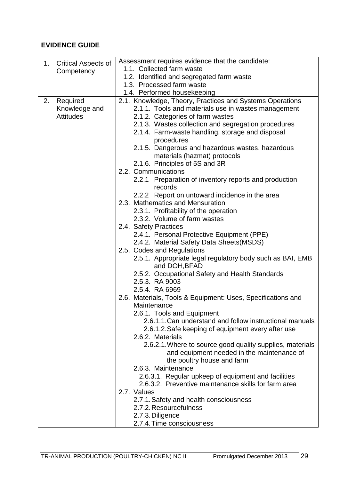| 1. Critical Aspects of | Assessment requires evidence that the candidate:                           |  |  |
|------------------------|----------------------------------------------------------------------------|--|--|
| Competency             | 1.1. Collected farm waste                                                  |  |  |
|                        | 1.2. Identified and segregated farm waste                                  |  |  |
|                        | 1.3. Processed farm waste                                                  |  |  |
|                        | 1.4. Performed housekeeping                                                |  |  |
| Required<br>2.         | 2.1. Knowledge, Theory, Practices and Systems Operations                   |  |  |
| Knowledge and          | 2.1.1. Tools and materials use in wastes management                        |  |  |
| <b>Attitudes</b>       | 2.1.2. Categories of farm wastes                                           |  |  |
|                        | 2.1.3. Wastes collection and segregation procedures                        |  |  |
|                        | 2.1.4. Farm-waste handling, storage and disposal                           |  |  |
|                        | procedures                                                                 |  |  |
|                        | 2.1.5. Dangerous and hazardous wastes, hazardous                           |  |  |
|                        | materials (hazmat) protocols                                               |  |  |
|                        | 2.1.6. Principles of 5S and 3R                                             |  |  |
|                        | 2.2. Communications                                                        |  |  |
|                        | 2.2.1 Preparation of inventory reports and production                      |  |  |
|                        | records                                                                    |  |  |
|                        | 2.2.2 Report on untoward incidence in the area                             |  |  |
|                        | 2.3. Mathematics and Mensuration                                           |  |  |
|                        | 2.3.1. Profitability of the operation                                      |  |  |
|                        | 2.3.2. Volume of farm wastes                                               |  |  |
|                        | 2.4. Safety Practices                                                      |  |  |
|                        | 2.4.1. Personal Protective Equipment (PPE)                                 |  |  |
|                        | 2.4.2. Material Safety Data Sheets(MSDS)                                   |  |  |
|                        | 2.5. Codes and Regulations                                                 |  |  |
|                        | 2.5.1. Appropriate legal regulatory body such as BAI, EMB<br>and DOH, BFAD |  |  |
|                        | 2.5.2. Occupational Safety and Health Standards                            |  |  |
|                        | 2.5.3. RA 9003                                                             |  |  |
|                        | 2.5.4. RA 6969                                                             |  |  |
|                        | 2.6. Materials, Tools & Equipment: Uses, Specifications and                |  |  |
|                        | Maintenance                                                                |  |  |
|                        | 2.6.1. Tools and Equipment                                                 |  |  |
|                        | 2.6.1.1. Can understand and follow instructional manuals                   |  |  |
|                        | 2.6.1.2. Safe keeping of equipment every after use                         |  |  |
|                        | 2.6.2. Materials                                                           |  |  |
|                        | 2.6.2.1. Where to source good quality supplies, materials                  |  |  |
|                        | and equipment needed in the maintenance of                                 |  |  |
|                        | the poultry house and farm                                                 |  |  |
|                        | 2.6.3. Maintenance                                                         |  |  |
|                        | 2.6.3.1. Regular upkeep of equipment and facilities                        |  |  |
|                        | 2.6.3.2. Preventive maintenance skills for farm area<br>2.7. Values        |  |  |
|                        |                                                                            |  |  |
|                        | 2.7.1. Safety and health consciousness<br>2.7.2. Resourcefulness           |  |  |
|                        | 2.7.3. Diligence                                                           |  |  |
|                        | 2.7.4. Time consciousness                                                  |  |  |
|                        |                                                                            |  |  |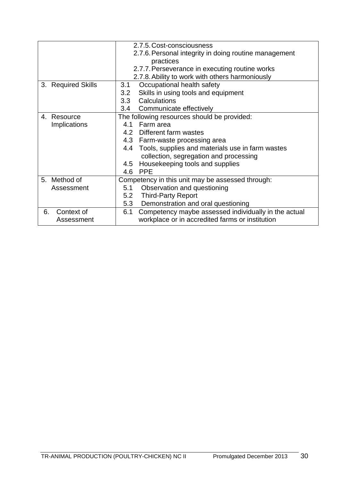|                     | 2.7.5. Cost-consciousness                                   |  |  |
|---------------------|-------------------------------------------------------------|--|--|
|                     | 2.7.6. Personal integrity in doing routine management       |  |  |
|                     | practices                                                   |  |  |
|                     | 2.7.7. Perseverance in executing routine works              |  |  |
|                     | 2.7.8. Ability to work with others harmoniously             |  |  |
| 3. Required Skills  | Occupational health safety<br>3.1                           |  |  |
|                     | Skills in using tools and equipment<br>3.2                  |  |  |
|                     | Calculations<br>3.3                                         |  |  |
|                     | 3.4 Communicate effectively                                 |  |  |
| 4. Resource         | The following resources should be provided:                 |  |  |
| <b>Implications</b> | Farm area<br>4.1                                            |  |  |
|                     | 4.2 Different farm wastes                                   |  |  |
|                     | 4.3 Farm-waste processing area                              |  |  |
|                     | 4.4 Tools, supplies and materials use in farm wastes        |  |  |
|                     | collection, segregation and processing                      |  |  |
|                     | Housekeeping tools and supplies<br>4.5                      |  |  |
|                     | <b>PPE</b><br>4.6                                           |  |  |
| 5. Method of        | Competency in this unit may be assessed through:            |  |  |
| Assessment          | Observation and questioning<br>5.1                          |  |  |
|                     | <b>Third-Party Report</b><br>5.2                            |  |  |
|                     | Demonstration and oral questioning<br>5.3                   |  |  |
| Context of<br>6.    | Competency maybe assessed individually in the actual<br>6.1 |  |  |
| Assessment          | workplace or in accredited farms or institution             |  |  |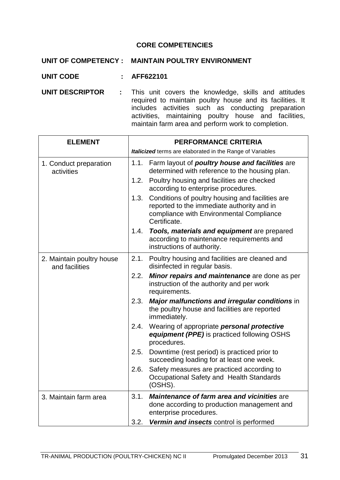#### **CORE COMPETENCIES**

|                 |  | UNIT OF COMPETENCY: MAINTAIN POULTRY ENVIRONMENT                                          |
|-----------------|--|-------------------------------------------------------------------------------------------|
| UNIT CODE       |  | $:$ AFF622101                                                                             |
| UNIT DESCRIPTOR |  | : This unit covers the knowledge, skills ar<br>required to maintain poultry house and its |

nd attitudes facilities. It includes activities such as conducting preparation activities, maintaining poultry house and facilities, maintain farm area and perform work to completion.

| <b>ELEMENT</b>                              | <b>PERFORMANCE CRITERIA</b>                                                                                                                                        |  |  |
|---------------------------------------------|--------------------------------------------------------------------------------------------------------------------------------------------------------------------|--|--|
|                                             | Italicized terms are elaborated in the Range of Variables                                                                                                          |  |  |
| 1. Conduct preparation<br>activities        | 1.1.<br>Farm layout of <i>poultry house and facilities</i> are<br>determined with reference to the housing plan.                                                   |  |  |
|                                             | Poultry housing and facilities are checked<br>1.2.<br>according to enterprise procedures.                                                                          |  |  |
|                                             | Conditions of poultry housing and facilities are<br>1.3.<br>reported to the immediate authority and in<br>compliance with Environmental Compliance<br>Certificate. |  |  |
|                                             | 1.4. Tools, materials and equipment are prepared<br>according to maintenance requirements and<br>instructions of authority.                                        |  |  |
| 2. Maintain poultry house<br>and facilities | 2.1.<br>Poultry housing and facilities are cleaned and<br>disinfected in regular basis.                                                                            |  |  |
|                                             | Minor repairs and maintenance are done as per<br>2.2.<br>instruction of the authority and per work<br>requirements.                                                |  |  |
|                                             | Major malfunctions and irregular conditions in<br>2.3.<br>the poultry house and facilities are reported<br>immediately.                                            |  |  |
|                                             | Wearing of appropriate personal protective<br>2.4.<br>equipment (PPE) is practiced following OSHS<br>procedures.                                                   |  |  |
|                                             | Downtime (rest period) is practiced prior to<br>2.5.<br>succeeding loading for at least one week.                                                                  |  |  |
|                                             | Safety measures are practiced according to<br>2.6.<br>Occupational Safety and Health Standards<br>(OSHS).                                                          |  |  |
| 3. Maintain farm area                       | 3.1.<br><b>Maintenance of farm area and vicinities are</b><br>done according to production management and<br>enterprise procedures.                                |  |  |
|                                             | Vermin and insects control is performed<br>3.2.                                                                                                                    |  |  |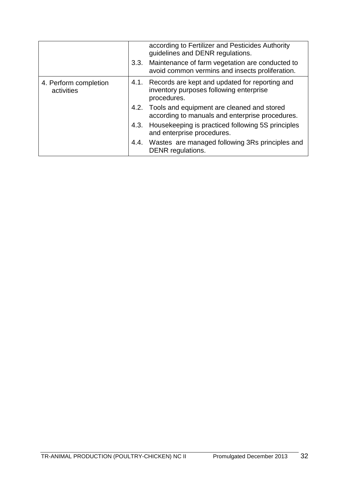|                                     |      | according to Fertilizer and Pesticides Authority<br>guidelines and DENR regulations.                          |
|-------------------------------------|------|---------------------------------------------------------------------------------------------------------------|
|                                     | 3.3. | Maintenance of farm vegetation are conducted to<br>avoid common vermins and insects proliferation.            |
| 4. Perform completion<br>activities |      | 4.1. Records are kept and updated for reporting and<br>inventory purposes following enterprise<br>procedures. |
|                                     |      | 4.2. Tools and equipment are cleaned and stored<br>according to manuals and enterprise procedures.            |
|                                     | 4.3. | Housekeeping is practiced following 5S principles<br>and enterprise procedures.                               |
|                                     |      | 4.4. Wastes are managed following 3Rs principles and<br>DENR regulations.                                     |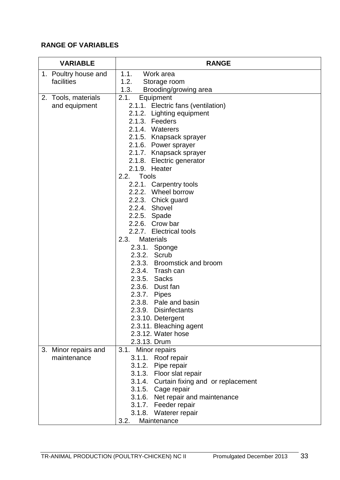| <b>VARIABLE</b>      | <b>RANGE</b>                                                   |
|----------------------|----------------------------------------------------------------|
| 1. Poultry house and | 1.1.<br>Work area                                              |
| facilities           | 1.2.<br>Storage room                                           |
|                      | 1.3.<br>Brooding/growing area                                  |
| 2. Tools, materials  | 2.1.<br>Equipment                                              |
| and equipment        | 2.1.1. Electric fans (ventilation)                             |
|                      | 2.1.2. Lighting equipment<br>2.1.3. Feeders                    |
|                      | 2.1.4. Waterers                                                |
|                      | 2.1.5. Knapsack sprayer                                        |
|                      | 2.1.6. Power sprayer                                           |
|                      | 2.1.7. Knapsack sprayer                                        |
|                      | 2.1.8. Electric generator                                      |
|                      | 2.1.9. Heater                                                  |
|                      | Tools<br>2.2.                                                  |
|                      | 2.2.1. Carpentry tools                                         |
|                      | 2.2.2. Wheel borrow                                            |
|                      | 2.2.3. Chick guard                                             |
|                      | 2.2.4. Shovel                                                  |
|                      | 2.2.5. Spade                                                   |
|                      | 2.2.6. Crow bar                                                |
|                      | 2.2.7. Electrical tools                                        |
|                      | 2.3.<br><b>Materials</b>                                       |
|                      | 2.3.1. Sponge<br>2.3.2. Scrub                                  |
|                      | 2.3.3. Broomstick and broom                                    |
|                      | 2.3.4. Trash can                                               |
|                      | 2.3.5. Sacks                                                   |
|                      | 2.3.6. Dust fan                                                |
|                      | 2.3.7. Pipes                                                   |
|                      | 2.3.8. Pale and basin                                          |
|                      | 2.3.9. Disinfectants                                           |
|                      | 2.3.10. Detergent                                              |
|                      | 2.3.11. Bleaching agent                                        |
|                      | 2.3.12. Water hose                                             |
|                      | 2.3.13. Drum                                                   |
| 3. Minor repairs and | 3.1. Minor repairs                                             |
| maintenance          | 3.1.1. Roof repair                                             |
|                      | 3.1.2. Pipe repair                                             |
|                      | 3.1.3. Floor slat repair                                       |
|                      | 3.1.4. Curtain fixing and or replacement<br>3.1.5. Cage repair |
|                      | 3.1.6. Net repair and maintenance                              |
|                      | 3.1.7. Feeder repair                                           |
|                      | 3.1.8. Waterer repair                                          |
|                      | 3.2.<br>Maintenance                                            |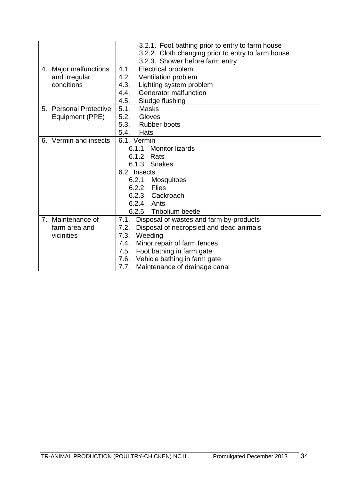|                        | 3.2.1. Foot bathing prior to entry to farm house   |
|------------------------|----------------------------------------------------|
|                        | 3.2.2. Cloth changing prior to entry to farm house |
|                        | 3.2.3. Shower before farm entry                    |
| 4. Major malfunctions  | <b>Electrical problem</b><br>4.1.                  |
| and irregular          | Ventilation problem<br>4.2.                        |
| conditions             | 4.3.<br>Lighting system problem                    |
|                        | Generator malfunction<br>4.4.                      |
|                        | 4.5. Sludge flushing                               |
| 5. Personal Protective | 5.1.<br><b>Masks</b>                               |
| Equipment (PPE)        | 5.2.<br>Gloves                                     |
|                        | 5.3. Rubber boots                                  |
|                        | 5.4.<br>Hats                                       |
| 6. Vermin and insects  | 6.1. Vermin                                        |
|                        | 6.1.1. Monitor lizards                             |
|                        | 6.1.2. Rats                                        |
|                        | 6.1.3. Snakes                                      |
|                        | 6.2. Insects                                       |
|                        | 6.2.1. Mosquitoes                                  |
|                        | 6.2.2. Flies                                       |
|                        | 6.2.3. Cackroach                                   |
|                        | 6.2.4. Ants                                        |
|                        | 6.2.5. Tribolium beetle                            |
| 7. Maintenance of      | Disposal of wastes and farm by-products<br>7.1.    |
| farm area and          | Disposal of necropsied and dead animals<br>7.2.    |
| vicinities             | Weeding<br>7.3.                                    |
|                        | Minor repair of farm fences<br>7.4.                |
|                        | 7.5. Foot bathing in farm gate                     |
|                        | 7.6. Vehicle bathing in farm gate                  |
|                        | Maintenance of drainage canal<br>7.7.              |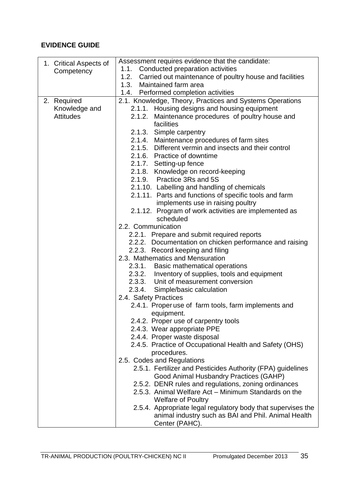| 1. Critical Aspects of | Assessment requires evidence that the candidate:             |
|------------------------|--------------------------------------------------------------|
| Competency             | 1.1. Conducted preparation activities                        |
|                        | 1.2. Carried out maintenance of poultry house and facilities |
|                        | 1.3. Maintained farm area                                    |
|                        | 1.4. Performed completion activities                         |
| 2. Required            | 2.1. Knowledge, Theory, Practices and Systems Operations     |
| Knowledge and          | 2.1.1. Housing designs and housing equipment                 |
| <b>Attitudes</b>       | 2.1.2. Maintenance procedures of poultry house and           |
|                        | facilities                                                   |
|                        | 2.1.3. Simple carpentry                                      |
|                        | 2.1.4. Maintenance procedures of farm sites                  |
|                        | 2.1.5. Different vermin and insects and their control        |
|                        | 2.1.6. Practice of downtime                                  |
|                        | 2.1.7. Setting-up fence                                      |
|                        | 2.1.8. Knowledge on record-keeping                           |
|                        | 2.1.9. Practice 3Rs and 5S                                   |
|                        | 2.1.10. Labelling and handling of chemicals                  |
|                        | 2.1.11. Parts and functions of specific tools and farm       |
|                        | implements use in raising poultry                            |
|                        | 2.1.12. Program of work activities are implemented as        |
|                        | scheduled                                                    |
|                        | 2.2. Communication                                           |
|                        | 2.2.1. Prepare and submit required reports                   |
|                        | 2.2.2. Documentation on chicken performance and raising      |
|                        | 2.2.3. Record keeping and filing                             |
|                        | 2.3. Mathematics and Mensuration                             |
|                        | 2.3.1. Basic mathematical operations                         |
|                        | 2.3.2. Inventory of supplies, tools and equipment            |
|                        | 2.3.3. Unit of measurement conversion                        |
|                        | 2.3.4. Simple/basic calculation<br>2.4. Safety Practices     |
|                        | 2.4.1. Proper use of farm tools, farm implements and         |
|                        | equipment.                                                   |
|                        | 2.4.2. Proper use of carpentry tools                         |
|                        | 2.4.3. Wear appropriate PPE                                  |
|                        | 2.4.4. Proper waste disposal                                 |
|                        | 2.4.5. Practice of Occupational Health and Safety (OHS)      |
|                        | procedures.                                                  |
|                        | 2.5. Codes and Regulations                                   |
|                        | 2.5.1. Fertilizer and Pesticides Authority (FPA) guidelines  |
|                        | Good Animal Husbandry Practices (GAHP)                       |
|                        | 2.5.2. DENR rules and regulations, zoning ordinances         |
|                        | 2.5.3. Animal Welfare Act - Minimum Standards on the         |
|                        | <b>Welfare of Poultry</b>                                    |
|                        | 2.5.4. Appropriate legal regulatory body that supervises the |
|                        | animal industry such as BAI and Phil. Animal Health          |
|                        | Center (PAHC).                                               |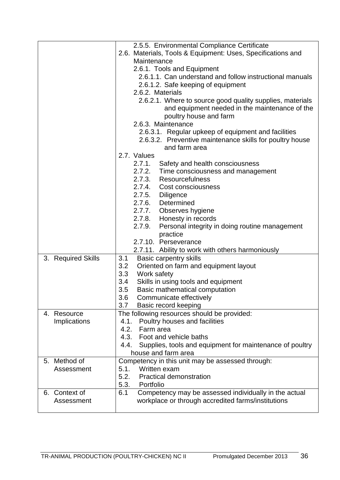|                    | 2.5.5. Environmental Compliance Certificate                                     |
|--------------------|---------------------------------------------------------------------------------|
|                    | 2.6. Materials, Tools & Equipment: Uses, Specifications and                     |
|                    | Maintenance                                                                     |
|                    | 2.6.1. Tools and Equipment                                                      |
|                    | 2.6.1.1. Can understand and follow instructional manuals                        |
|                    | 2.6.1.2. Safe keeping of equipment                                              |
|                    | 2.6.2. Materials                                                                |
|                    | 2.6.2.1. Where to source good quality supplies, materials                       |
|                    | and equipment needed in the maintenance of the                                  |
|                    | poultry house and farm                                                          |
|                    | 2.6.3. Maintenance                                                              |
|                    | 2.6.3.1. Regular upkeep of equipment and facilities                             |
|                    | 2.6.3.2. Preventive maintenance skills for poultry house                        |
|                    | and farm area                                                                   |
|                    | 2.7. Values                                                                     |
|                    | 2.7.1.<br>Safety and health consciousness                                       |
|                    | 2.7.2.<br>Time consciousness and management                                     |
|                    | <b>Resourcefulness</b><br>2.7.3.                                                |
|                    | 2.7.4. Cost consciousness                                                       |
|                    | 2.7.5. Diligence                                                                |
|                    | 2.7.6. Determined                                                               |
|                    | 2.7.7. Observes hygiene                                                         |
|                    | 2.7.8.<br>Honesty in records                                                    |
|                    | 2.7.9.<br>Personal integrity in doing routine management                        |
|                    | practice                                                                        |
|                    | 2.7.10. Perseverance                                                            |
|                    | 2.7.11. Ability to work with others harmoniously                                |
| 3. Required Skills | <b>Basic carpentry skills</b><br>3.1                                            |
|                    | 3.2<br>Oriented on farm and equipment layout                                    |
|                    | 3.3<br>Work safety                                                              |
|                    | 3.4<br>Skills in using tools and equipment                                      |
|                    | 3.5<br>Basic mathematical computation                                           |
|                    | 3.6<br>Communicate effectively                                                  |
|                    | 3.7<br>Basic record keeping                                                     |
| 4. Resource        | The following resources should be provided:                                     |
| Implications       | Poultry houses and facilities<br>4.1.<br>4.2.<br>Farm area                      |
|                    | 4.3.<br>Foot and vehicle baths                                                  |
|                    | 4.4.                                                                            |
|                    | Supplies, tools and equipment for maintenance of poultry<br>house and farm area |
| 5. Method of       | Competency in this unit may be assessed through:                                |
| Assessment         | Written exam<br>5.1.                                                            |
|                    | 5.2.<br><b>Practical demonstration</b>                                          |
|                    | 5.3.<br>Portfolio                                                               |
| 6. Context of      | 6.1<br>Competency may be assessed individually in the actual                    |
| Assessment         | workplace or through accredited farms/institutions                              |
|                    |                                                                                 |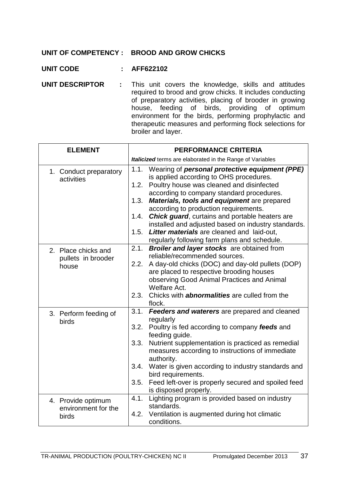### **UNIT OF COMPETENCY : BROOD AND GROW CHICKS**

- **UNIT CODE : AFF622102**
- **UNIT DESCRIPTOR** : This unit covers the knowledge, skills and attitudes required to brood and grow chicks. It includes conducting of preparatory activities, placing of brooder in growing house, feeding of birds, providing of optimum environment for the birds, performing prophylactic and therapeutic measures and performing flock selections for broiler and layer.

| <b>ELEMENT</b>                                     | <b>PERFORMANCE CRITERIA</b>                                                                                                                                                                                                                                                                                                                                                                                                                                                                                                       |
|----------------------------------------------------|-----------------------------------------------------------------------------------------------------------------------------------------------------------------------------------------------------------------------------------------------------------------------------------------------------------------------------------------------------------------------------------------------------------------------------------------------------------------------------------------------------------------------------------|
|                                                    | Italicized terms are elaborated in the Range of Variables                                                                                                                                                                                                                                                                                                                                                                                                                                                                         |
| 1. Conduct preparatory<br>activities               | 1.1.<br>Wearing of personal protective equipment (PPE)<br>is applied according to OHS procedures.<br>Poultry house was cleaned and disinfected<br>1.2.<br>according to company standard procedures.<br>Materials, tools and equipment are prepared<br>1.3.<br>according to production requirements.<br><b>Chick guard, curtains and portable heaters are</b><br>1.4.<br>installed and adjusted based on industry standards.<br>Litter materials are cleaned and laid-out.<br>1.5.<br>regularly following farm plans and schedule. |
| 2. Place chicks and<br>pullets in brooder<br>house | Broiler and layer stocks are obtained from<br>2.1.<br>reliable/recommended sources.<br>A day-old chicks (DOC) and day-old pullets (DOP)<br>2.2.<br>are placed to respective brooding houses<br>observing Good Animal Practices and Animal<br>Welfare Act.<br>Chicks with <b>abnormalities</b> are culled from the<br>2.3.<br>flock.                                                                                                                                                                                               |
| 3. Perform feeding of<br>birds                     | 3.1.<br>Feeders and waterers are prepared and cleaned<br>regularly<br>3.2. Poultry is fed according to company feeds and<br>feeding guide.<br>3.3.<br>Nutrient supplementation is practiced as remedial<br>measures according to instructions of immediate<br>authority.<br>3.4.<br>Water is given according to industry standards and<br>bird requirements.<br>Feed left-over is properly secured and spoiled feed<br>3.5.<br>is disposed properly.                                                                              |
| 4. Provide optimum<br>environment for the<br>birds | Lighting program is provided based on industry<br>4.1.<br>standards.<br>4.2.<br>Ventilation is augmented during hot climatic<br>conditions.                                                                                                                                                                                                                                                                                                                                                                                       |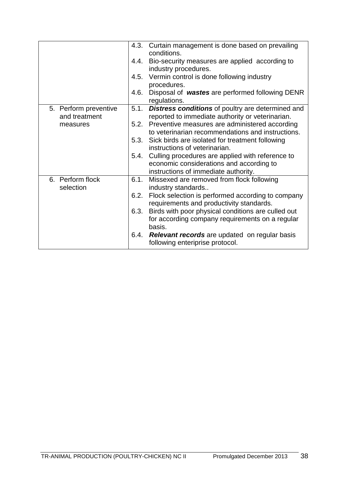|                                        | Curtain management is done based on prevailing<br>4.3.<br>conditions.                                                                        |
|----------------------------------------|----------------------------------------------------------------------------------------------------------------------------------------------|
|                                        | Bio-security measures are applied according to<br>4.4.<br>industry procedures.                                                               |
|                                        | Vermin control is done following industry<br>4.5.<br>procedures.                                                                             |
|                                        | 4.6.<br>Disposal of wastes are performed following DENR<br>regulations.                                                                      |
| 5. Perform preventive<br>and treatment | <b>Distress conditions</b> of poultry are determined and<br>5.1.<br>reported to immediate authority or veterinarian.                         |
| measures                               | Preventive measures are administered according<br>5.2.<br>to veterinarian recommendations and instructions.                                  |
|                                        | 5.3.<br>Sick birds are isolated for treatment following<br>instructions of veterinarian.                                                     |
|                                        | Culling procedures are applied with reference to<br>5.4.<br>economic considerations and according to<br>instructions of immediate authority. |
| 6. Perform flock<br>selection          | 6.1.<br>Missexed are removed from flock following<br>industry standards                                                                      |
|                                        | Flock selection is performed according to company<br>6.2.<br>requirements and productivity standards.                                        |
|                                        | Birds with poor physical conditions are culled out<br>6.3.<br>for according company requirements on a regular<br>basis.                      |
|                                        | <b>Relevant records</b> are updated on regular basis<br>6.4.<br>following enteriprise protocol.                                              |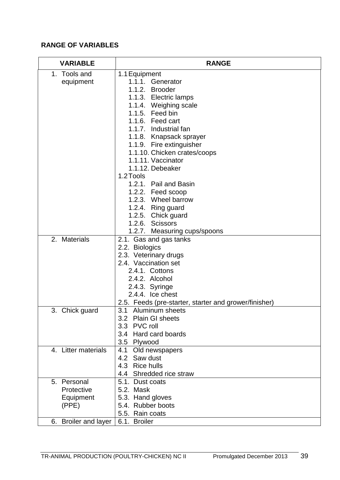# **RANGE OF VARIABLES**

| <b>VARIABLE</b>      | <b>RANGE</b>                                          |
|----------------------|-------------------------------------------------------|
| 1. Tools and         | 1.1 Equipment                                         |
| equipment            | 1.1.1. Generator                                      |
|                      | 1.1.2. Brooder                                        |
|                      | 1.1.3. Electric lamps                                 |
|                      | 1.1.4. Weighing scale                                 |
|                      | 1.1.5. Feed bin                                       |
|                      | 1.1.6. Feed cart                                      |
|                      | 1.1.7. Industrial fan                                 |
|                      | 1.1.8. Knapsack sprayer                               |
|                      | 1.1.9. Fire extinguisher                              |
|                      | 1.1.10. Chicken crates/coops                          |
|                      | 1.1.11. Vaccinator                                    |
|                      | 1.1.12. Debeaker                                      |
|                      | 1.2 Tools                                             |
|                      | 1.2.1. Pail and Basin                                 |
|                      | 1.2.2. Feed scoop                                     |
|                      | 1.2.3. Wheel barrow                                   |
|                      | 1.2.4. Ring guard                                     |
|                      | 1.2.5. Chick guard                                    |
|                      | 1.2.6. Scissors                                       |
|                      | 1.2.7. Measuring cups/spoons                          |
| 2. Materials         | 2.1. Gas and gas tanks                                |
|                      | 2.2. Biologics                                        |
|                      | 2.3. Veterinary drugs                                 |
|                      | 2.4. Vaccination set                                  |
|                      | 2.4.1. Cottons                                        |
|                      | 2.4.2. Alcohol                                        |
|                      | 2.4.3. Syringe                                        |
|                      | 2.4.4. Ice chest                                      |
|                      | 2.5. Feeds (pre-starter, starter and grower/finisher) |
| 3. Chick guard       | 3.1 Aluminum sheets                                   |
|                      | 3.2 Plain GI sheets                                   |
|                      | 3.3 PVC roll                                          |
|                      | 3.4 Hard card boards                                  |
|                      | 3.5 Plywood                                           |
| 4. Litter materials  | 4.1 Old newspapers                                    |
|                      | 4.2 Saw dust                                          |
|                      | 4.3 Rice hulls                                        |
|                      | 4.4 Shredded rice straw                               |
| 5. Personal          | 5.1. Dust coats                                       |
| Protective           | 5.2. Mask                                             |
| Equipment            | 5.3. Hand gloves                                      |
| (PPE)                | 5.4. Rubber boots                                     |
|                      | 5.5. Rain coats                                       |
| 6. Broiler and layer | 6.1. Broiler                                          |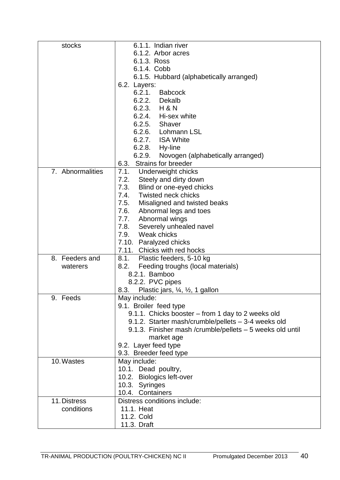| stocks           | 6.1.1. Indian river                                       |
|------------------|-----------------------------------------------------------|
|                  | 6.1.2. Arbor acres                                        |
|                  | 6.1.3. Ross                                               |
|                  | 6.1.4. Cobb                                               |
|                  | 6.1.5. Hubbard (alphabetically arranged)                  |
|                  | 6.2. Layers:                                              |
|                  | 6.2.1.<br><b>Babcock</b>                                  |
|                  | 6.2.2. Dekalb                                             |
|                  | 6.2.3. H & N                                              |
|                  | 6.2.4. Hi-sex white                                       |
|                  | 6.2.5. Shaver                                             |
|                  | 6.2.6. Lohmann LSL                                        |
|                  | 6.2.7. ISA White                                          |
|                  | 6.2.8. Hy-line                                            |
|                  | 6.2.9.<br>Novogen (alphabetically arranged)               |
|                  | Strains for breeder<br>6.3.                               |
| 7. Abnormalities | 7.1.<br>Underweight chicks                                |
|                  | 7.2.<br>Steely and dirty down                             |
|                  | 7.3.<br>Blind or one-eyed chicks                          |
|                  | <b>Twisted neck chicks</b><br>7.4.                        |
|                  | 7.5.<br>Misaligned and twisted beaks                      |
|                  | 7.6. Abnormal legs and toes                               |
|                  | Abnormal wings<br>7.7.                                    |
|                  | 7.8.<br>Severely unhealed navel                           |
|                  | 7.9. Weak chicks                                          |
|                  | 7.10. Paralyzed chicks                                    |
|                  | 7.11. Chicks with red hocks                               |
| 8. Feeders and   | Plastic feeders, 5-10 kg<br>8.1.                          |
| waterers         | 8.2.<br>Feeding troughs (local materials)                 |
|                  | 8.2.1. Bamboo                                             |
|                  | 8.2.2. PVC pipes                                          |
|                  | Plastic jars, 1/4, 1/2, 1 gallon<br>8.3.                  |
| 9. Feeds         | May include:                                              |
|                  | 9.1. Broiler feed type                                    |
|                  | 9.1.1. Chicks booster – from 1 day to 2 weeks old         |
|                  | 9.1.2. Starter mash/crumble/pellets - 3-4 weeks old       |
|                  | 9.1.3. Finisher mash /crumble/pellets - 5 weeks old until |
|                  | market age                                                |
|                  | 9.2. Layer feed type                                      |
|                  | 9.3. Breeder feed type                                    |
| 10. Wastes       | May include:                                              |
|                  | 10.1. Dead poultry,                                       |
|                  | 10.2. Biologics left-over                                 |
|                  | 10.3. Syringes                                            |
|                  | 10.4. Containers                                          |
| 11. Distress     | Distress conditions include:                              |
| conditions       | 11.1. Heat                                                |
|                  | 11.2. Cold                                                |
|                  | 11.3. Draft                                               |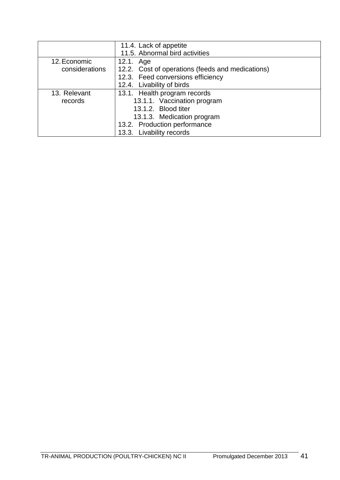|                | 11.4. Lack of appetite                           |
|----------------|--------------------------------------------------|
|                | 11.5. Abnormal bird activities                   |
| 12. Economic   | 12.1. Age                                        |
| considerations | 12.2. Cost of operations (feeds and medications) |
|                | 12.3. Feed conversions efficiency                |
|                | 12.4. Livability of birds                        |
| 13. Relevant   | 13.1. Health program records                     |
| records        | 13.1.1. Vaccination program                      |
|                | 13.1.2. Blood titer                              |
|                | 13.1.3. Medication program                       |
|                | 13.2. Production performance                     |
|                | 13.3. Livability records                         |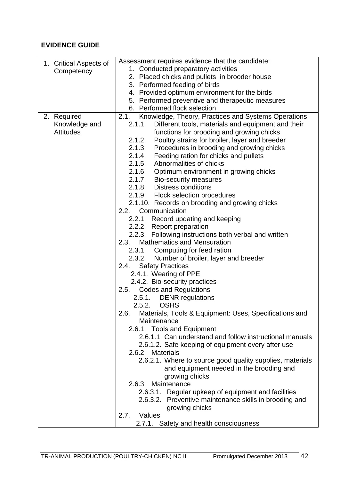| 1. Critical Aspects of | Assessment requires evidence that the candidate:                     |
|------------------------|----------------------------------------------------------------------|
| Competency             | 1. Conducted preparatory activities                                  |
|                        | 2. Placed chicks and pullets in brooder house                        |
|                        | 3. Performed feeding of birds                                        |
|                        | 4. Provided optimum environment for the birds                        |
|                        | 5. Performed preventive and therapeutic measures                     |
|                        | 6. Performed flock selection                                         |
| 2. Required            | 2.1.<br>Knowledge, Theory, Practices and Systems Operations          |
| Knowledge and          | Different tools, materials and equipment and their<br>2.1.1.         |
| <b>Attitudes</b>       | functions for brooding and growing chicks                            |
|                        | 2.1.2.<br>Poultry strains for broiler, layer and breeder             |
|                        | 2.1.3.<br>Procedures in brooding and growing chicks                  |
|                        | 2.1.4. Feeding ration for chicks and pullets                         |
|                        | 2.1.5. Abnormalities of chicks                                       |
|                        | 2.1.6. Optimum environment in growing chicks                         |
|                        | 2.1.7. Bio-security measures                                         |
|                        | 2.1.8. Distress conditions                                           |
|                        | 2.1.9. Flock selection procedures                                    |
|                        |                                                                      |
|                        | 2.1.10. Records on brooding and growing chicks<br>2.2. Communication |
|                        |                                                                      |
|                        | 2.2.1. Record updating and keeping                                   |
|                        | 2.2.2. Report preparation                                            |
|                        | 2.2.3. Following instructions both verbal and written                |
|                        | <b>Mathematics and Mensuration</b><br>2.3.                           |
|                        | 2.3.1. Computing for feed ration                                     |
|                        | Number of broiler, layer and breeder<br>2.3.2.                       |
|                        | 2.4. Safety Practices                                                |
|                        | 2.4.1. Wearing of PPE                                                |
|                        | 2.4.2. Bio-security practices                                        |
|                        | <b>Codes and Regulations</b><br>2.5.                                 |
|                        | 2.5.1. DENR regulations                                              |
|                        | <b>OSHS</b><br>2.5.2.                                                |
|                        | Materials, Tools & Equipment: Uses, Specifications and<br>2.6.       |
|                        | Maintenance                                                          |
|                        | 2.6.1. Tools and Equipment                                           |
|                        | 2.6.1.1. Can understand and follow instructional manuals             |
|                        | 2.6.1.2. Safe keeping of equipment every after use                   |
|                        | 2.6.2. Materials                                                     |
|                        | 2.6.2.1. Where to source good quality supplies, materials            |
|                        | and equipment needed in the brooding and                             |
|                        | growing chicks                                                       |
|                        | 2.6.3. Maintenance                                                   |
|                        | 2.6.3.1. Regular upkeep of equipment and facilities                  |
|                        | 2.6.3.2. Preventive maintenance skills in brooding and               |
|                        | growing chicks                                                       |
|                        | Values<br>2.7.                                                       |
|                        | 2.7.1. Safety and health consciousness                               |
|                        |                                                                      |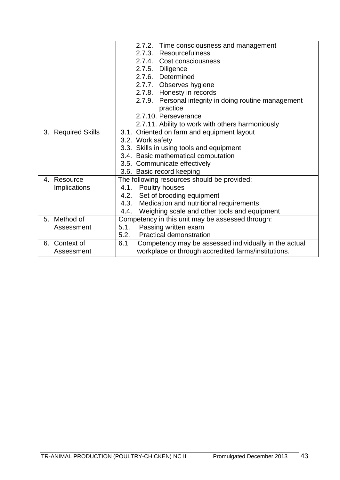|                    | 2.7.2. Time consciousness and management                     |
|--------------------|--------------------------------------------------------------|
|                    | 2.7.3. Resourcefulness                                       |
|                    | 2.7.4. Cost consciousness                                    |
|                    | 2.7.5. Diligence                                             |
|                    | 2.7.6. Determined                                            |
|                    | 2.7.7. Observes hygiene                                      |
|                    | 2.7.8. Honesty in records                                    |
|                    | 2.7.9. Personal integrity in doing routine management        |
|                    | practice                                                     |
|                    | 2.7.10. Perseverance                                         |
|                    | 2.7.11. Ability to work with others harmoniously             |
| 3. Required Skills | 3.1. Oriented on farm and equipment layout                   |
|                    | 3.2. Work safety                                             |
|                    | 3.3. Skills in using tools and equipment                     |
|                    | 3.4. Basic mathematical computation                          |
|                    | 3.5. Communicate effectively                                 |
|                    | 3.6. Basic record keeping                                    |
| Resource<br>4.     | The following resources should be provided:                  |
| Implications       | 4.1. Poultry houses                                          |
|                    | 4.2. Set of brooding equipment                               |
|                    | 4.3.<br>Medication and nutritional requirements              |
|                    | Weighing scale and other tools and equipment<br>4.4.         |
| 5. Method of       | Competency in this unit may be assessed through:             |
| Assessment         | 5.1.<br>Passing written exam                                 |
|                    | 5.2.<br><b>Practical demonstration</b>                       |
| 6. Context of      | 6.1<br>Competency may be assessed individually in the actual |
| Assessment         | workplace or through accredited farms/institutions.          |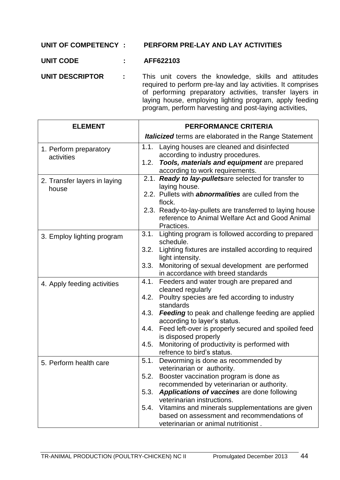### **UNIT OF COMPETENCY : PERFORM PRE-LAY AND LAY ACTIVITIES**

### **UNIT CODE : AFF622103**

**UNIT DESCRIPTOR :** This unit covers the knowledge, skills and attitudes required to perform pre-lay and lay activities. It comprises of performing preparatory activities, transfer layers in laying house, employing lighting program, apply feeding program, perform harvesting and post-laying activities,

| <b>ELEMENT</b>                        | <b>PERFORMANCE CRITERIA</b>                                                                                                                                                      |
|---------------------------------------|----------------------------------------------------------------------------------------------------------------------------------------------------------------------------------|
|                                       | <b>Italicized</b> terms are elaborated in the Range Statement                                                                                                                    |
| 1. Perform preparatory<br>activities  | 1.1.<br>Laying houses are cleaned and disinfected<br>according to industry procedures.<br>1.2.<br>Tools, materials and equipment are prepared<br>according to work requirements. |
| 2. Transfer layers in laying<br>house | 2.1. Ready to lay-pulletsare selected for transfer to<br>laying house.<br>2.2. Pullets with <b>abnormalities</b> are culled from the                                             |
|                                       | flock.<br>2.3. Ready-to-lay-pullets are transferred to laying house<br>reference to Animal Welfare Act and Good Animal<br>Practices.                                             |
| 3. Employ lighting program            | 3.1. Lighting program is followed according to prepared<br>schedule.                                                                                                             |
|                                       | 3.2. Lighting fixtures are installed according to required<br>light intensity.                                                                                                   |
|                                       | 3.3.<br>Monitoring of sexual development are performed<br>in accordance with breed standards                                                                                     |
| 4. Apply feeding activities           | Feeders and water trough are prepared and<br>4.1.<br>cleaned regularly                                                                                                           |
|                                       | 4.2. Poultry species are fed according to industry<br>standards                                                                                                                  |
|                                       | 4.3.<br>Feeding to peak and challenge feeding are applied<br>according to layer's status.                                                                                        |
|                                       | Feed left-over is properly secured and spoiled feed<br>4.4.<br>is disposed properly                                                                                              |
|                                       | Monitoring of productivity is performed with<br>4.5.<br>refrence to bird's status.                                                                                               |
| 5. Perform health care                | Deworming is done as recommended by<br>5.1.<br>veterinarian or authority.                                                                                                        |
|                                       | 5.2.<br>Booster vaccination program is done as<br>recommended by veterinarian or authority.                                                                                      |
|                                       | Applications of vaccines are done following<br>5.3.<br>veterinarian instructions.                                                                                                |
|                                       | Vitamins and minerals supplementations are given<br>5.4.<br>based on assessment and recommendations of                                                                           |
|                                       | veterinarian or animal nutritionist.                                                                                                                                             |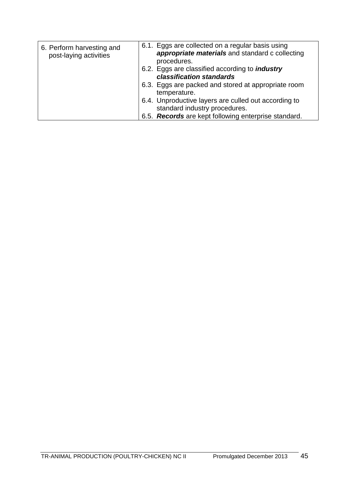| 6. Perform harvesting and<br>post-laying activities | 6.1. Eggs are collected on a regular basis using<br>appropriate materials and standard c collecting<br>procedures. |
|-----------------------------------------------------|--------------------------------------------------------------------------------------------------------------------|
|                                                     | 6.2. Eggs are classified according to <i>industry</i><br>classification standards                                  |
|                                                     | 6.3. Eggs are packed and stored at appropriate room<br>temperature.                                                |
|                                                     | 6.4. Unproductive layers are culled out according to<br>standard industry procedures.                              |
|                                                     | 6.5. Records are kept following enterprise standard.                                                               |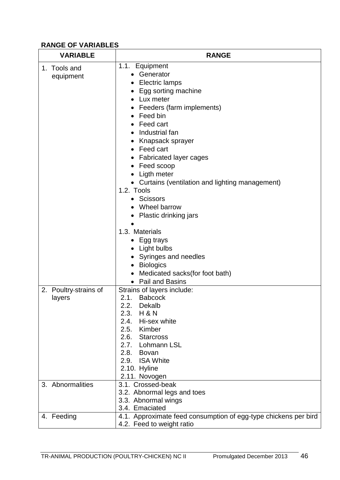# **RANGE OF VARIABLES**

| <b>VARIABLE</b>                 | <b>RANGE</b>                                                                                                                                                                                                                                                                                                                                                                                                                                              |
|---------------------------------|-----------------------------------------------------------------------------------------------------------------------------------------------------------------------------------------------------------------------------------------------------------------------------------------------------------------------------------------------------------------------------------------------------------------------------------------------------------|
| 1. Tools and<br>equipment       | 1.1. Equipment<br>• Generator<br><b>Electric lamps</b><br>Egg sorting machine<br>Lux meter<br>• Feeders (farm implements)<br>$\bullet$ Feed bin<br>Feed cart<br>Industrial fan<br>$\bullet$<br>Knapsack sprayer<br>• Feed cart<br><b>Fabricated layer cages</b><br>Feed scoop<br>Ligth meter<br>• Curtains (ventilation and lighting management)<br>1.2. Tools<br><b>Scissors</b><br>Wheel barrow<br>Plastic drinking jars<br>1.3. Materials<br>Egg trays |
|                                 | • Light bulbs<br>• Syringes and needles<br><b>Biologics</b><br>Medicated sacks(for foot bath)<br>Pail and Basins                                                                                                                                                                                                                                                                                                                                          |
| 2. Poultry-strains of<br>layers | Strains of layers include:<br><b>Babcock</b><br>2.1.<br>2.2.<br>Dekalb<br>2.3.<br><b>H &amp; N</b><br>2.4.<br>Hi-sex white<br>Kimber<br>2.5.<br>2.6. Starcross<br>2.7. Lohmann LSL<br>2.8. Bovan<br><b>ISA White</b><br>2.9.<br>2.10. Hyline<br>2.11. Novogen                                                                                                                                                                                             |
| 3. Abnormalities                | 3.1. Crossed-beak<br>3.2. Abnormal legs and toes<br>3.3. Abnormal wings<br>3.4. Emaciated                                                                                                                                                                                                                                                                                                                                                                 |
| 4. Feeding                      | 4.1. Approximate feed consumption of egg-type chickens per bird<br>4.2. Feed to weight ratio                                                                                                                                                                                                                                                                                                                                                              |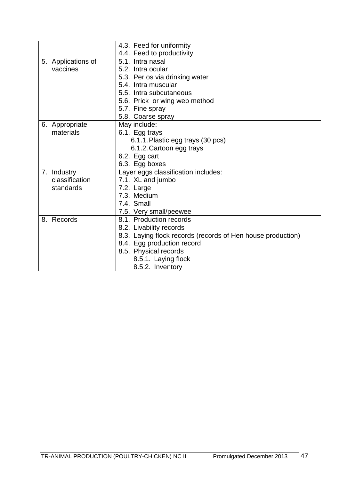|                    | 4.3. Feed for uniformity                                    |  |  |  |  |
|--------------------|-------------------------------------------------------------|--|--|--|--|
|                    | 4.4. Feed to productivity                                   |  |  |  |  |
| 5. Applications of | 5.1. Intra nasal                                            |  |  |  |  |
| vaccines           | 5.2. Intra ocular                                           |  |  |  |  |
|                    | 5.3. Per os via drinking water                              |  |  |  |  |
|                    | 5.4. Intra muscular                                         |  |  |  |  |
|                    | 5.5. Intra subcutaneous                                     |  |  |  |  |
|                    | 5.6. Prick or wing web method                               |  |  |  |  |
|                    | 5.7. Fine spray                                             |  |  |  |  |
|                    | 5.8. Coarse spray                                           |  |  |  |  |
| 6. Appropriate     | May include:                                                |  |  |  |  |
| materials          | 6.1. Egg trays                                              |  |  |  |  |
|                    | 6.1.1. Plastic egg trays (30 pcs)                           |  |  |  |  |
|                    | 6.1.2. Cartoon egg trays                                    |  |  |  |  |
|                    | 6.2. Egg cart                                               |  |  |  |  |
|                    | 6.3. Egg boxes                                              |  |  |  |  |
| 7. Industry        | Layer eggs classification includes:                         |  |  |  |  |
| classification     | 7.1. XL and jumbo                                           |  |  |  |  |
| standards          | 7.2. Large                                                  |  |  |  |  |
|                    | 7.3. Medium                                                 |  |  |  |  |
|                    | 7.4. Small                                                  |  |  |  |  |
|                    | 7.5. Very small/peewee                                      |  |  |  |  |
| 8. Records         | 8.1. Production records                                     |  |  |  |  |
|                    | 8.2. Livability records                                     |  |  |  |  |
|                    | 8.3. Laying flock records (records of Hen house production) |  |  |  |  |
|                    | 8.4. Egg production record                                  |  |  |  |  |
|                    | 8.5. Physical records                                       |  |  |  |  |
|                    | 8.5.1. Laying flock                                         |  |  |  |  |
|                    | 8.5.2. Inventory                                            |  |  |  |  |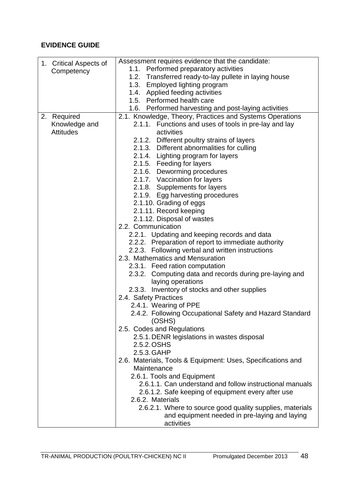|                        | Assessment requires evidence that the candidate:            |
|------------------------|-------------------------------------------------------------|
| 1. Critical Aspects of | 1.1. Performed preparatory activities                       |
| Competency             | 1.2. Transferred ready-to-lay pullete in laying house       |
|                        | 1.3. Employed lighting program                              |
|                        | 1.4. Applied feeding activities                             |
|                        | 1.5. Performed health care                                  |
|                        | 1.6. Performed harvesting and post-laying activities        |
| 2. Required            | 2.1. Knowledge, Theory, Practices and Systems Operations    |
| Knowledge and          | 2.1.1. Functions and uses of tools in pre-lay and lay       |
| <b>Attitudes</b>       | activities                                                  |
|                        | 2.1.2. Different poultry strains of layers                  |
|                        | 2.1.3. Different abnormalities for culling                  |
|                        | 2.1.4. Lighting program for layers                          |
|                        | 2.1.5. Feeding for layers                                   |
|                        | 2.1.6. Deworming procedures                                 |
|                        | 2.1.7. Vaccination for layers                               |
|                        | 2.1.8. Supplements for layers                               |
|                        | 2.1.9. Egg harvesting procedures                            |
|                        | 2.1.10. Grading of eggs                                     |
|                        | 2.1.11. Record keeping                                      |
|                        | 2.1.12. Disposal of wastes                                  |
|                        | 2.2. Communication                                          |
|                        | 2.2.1. Updating and keeping records and data                |
|                        | 2.2.2. Preparation of report to immediate authority         |
|                        | 2.2.3. Following verbal and written instructions            |
|                        | 2.3. Mathematics and Mensuration                            |
|                        | 2.3.1. Feed ration computation                              |
|                        | 2.3.2. Computing data and records during pre-laying and     |
|                        | laying operations                                           |
|                        | 2.3.3. Inventory of stocks and other supplies               |
|                        | 2.4. Safety Practices                                       |
|                        | 2.4.1. Wearing of PPE                                       |
|                        | 2.4.2. Following Occupational Safety and Hazard Standard    |
|                        | (OSHS)                                                      |
|                        | 2.5. Codes and Regulations                                  |
|                        | 2.5.1. DENR legislations in wastes disposal                 |
|                        | 2.5.2. OSHS                                                 |
|                        | 2.5.3. GAHP                                                 |
|                        | 2.6. Materials, Tools & Equipment: Uses, Specifications and |
|                        | Maintenance                                                 |
|                        | 2.6.1. Tools and Equipment                                  |
|                        | 2.6.1.1. Can understand and follow instructional manuals    |
|                        | 2.6.1.2. Safe keeping of equipment every after use          |
|                        | 2.6.2. Materials                                            |
|                        | 2.6.2.1. Where to source good quality supplies, materials   |
|                        | and equipment needed in pre-laying and laying               |
|                        | activities                                                  |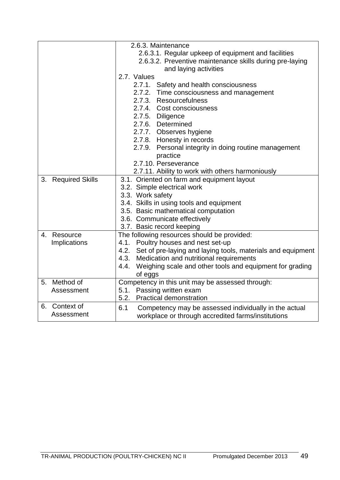|                    | 2.6.3. Maintenance                                               |  |  |  |  |
|--------------------|------------------------------------------------------------------|--|--|--|--|
|                    | 2.6.3.1. Regular upkeep of equipment and facilities              |  |  |  |  |
|                    | 2.6.3.2. Preventive maintenance skills during pre-laying         |  |  |  |  |
|                    | and laying activities                                            |  |  |  |  |
|                    | 2.7. Values                                                      |  |  |  |  |
|                    | 2.7.1. Safety and health consciousness                           |  |  |  |  |
|                    | 2.7.2. Time consciousness and management                         |  |  |  |  |
|                    | 2.7.3. Resourcefulness                                           |  |  |  |  |
|                    | 2.7.4. Cost consciousness                                        |  |  |  |  |
|                    | 2.7.5. Diligence                                                 |  |  |  |  |
|                    | 2.7.6. Determined                                                |  |  |  |  |
|                    | 2.7.7. Observes hygiene                                          |  |  |  |  |
|                    | 2.7.8. Honesty in records                                        |  |  |  |  |
|                    | 2.7.9. Personal integrity in doing routine management            |  |  |  |  |
|                    | practice                                                         |  |  |  |  |
|                    | 2.7.10. Perseverance                                             |  |  |  |  |
|                    | 2.7.11. Ability to work with others harmoniously                 |  |  |  |  |
| 3. Required Skills | 3.1. Oriented on farm and equipment layout                       |  |  |  |  |
|                    | 3.2. Simple electrical work                                      |  |  |  |  |
|                    | 3.3. Work safety                                                 |  |  |  |  |
|                    | 3.4. Skills in using tools and equipment                         |  |  |  |  |
|                    | 3.5. Basic mathematical computation                              |  |  |  |  |
|                    | 3.6. Communicate effectively                                     |  |  |  |  |
|                    | 3.7. Basic record keeping                                        |  |  |  |  |
| 4. Resource        | The following resources should be provided:                      |  |  |  |  |
| Implications       | 4.1. Poultry houses and nest set-up                              |  |  |  |  |
|                    | 4.2. Set of pre-laying and laying tools, materials and equipment |  |  |  |  |
|                    | Medication and nutritional requirements<br>4.3.                  |  |  |  |  |
|                    | Weighing scale and other tools and equipment for grading<br>4.4. |  |  |  |  |
|                    | of eggs                                                          |  |  |  |  |
| 5. Method of       | Competency in this unit may be assessed through:                 |  |  |  |  |
| Assessment         | 5.1. Passing written exam                                        |  |  |  |  |
|                    | 5.2.<br><b>Practical demonstration</b>                           |  |  |  |  |
| Context of<br>6.   | 6.1<br>Competency may be assessed individually in the actual     |  |  |  |  |
| Assessment         | workplace or through accredited farms/institutions               |  |  |  |  |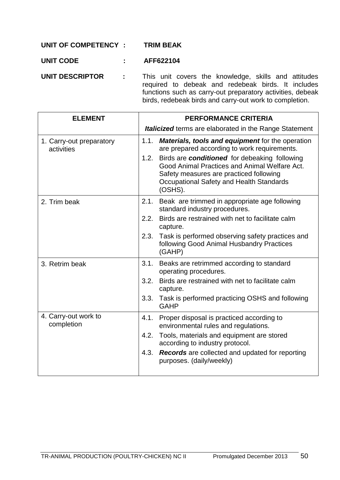### **UNIT OF COMPETENCY : TRIM BEAK**

### **UNIT CODE : AFF622104**

**UNIT DESCRIPTOR :** This unit covers the knowledge, skills and attitudes required to debeak and redebeak birds. It includes functions such as carry-out preparatory activities, debeak birds, redebeak birds and carry-out work to completion.

| <b>ELEMENT</b>                         | <b>PERFORMANCE CRITERIA</b>                                                                                                                                                                              |  |
|----------------------------------------|----------------------------------------------------------------------------------------------------------------------------------------------------------------------------------------------------------|--|
|                                        | <b>Italicized</b> terms are elaborated in the Range Statement                                                                                                                                            |  |
| 1. Carry-out preparatory<br>activities | 1.1.<br><b>Materials, tools and equipment for the operation</b><br>are prepared according to work requirements.                                                                                          |  |
|                                        | Birds are conditioned for debeaking following<br>1.2.<br>Good Animal Practices and Animal Welfare Act.<br>Safety measures are practiced following<br>Occupational Safety and Health Standards<br>(OSHS). |  |
| 2. Trim beak                           | Beak are trimmed in appropriate age following<br>2.1.<br>standard industry procedures.                                                                                                                   |  |
|                                        | Birds are restrained with net to facilitate calm<br>2.2.<br>capture.                                                                                                                                     |  |
|                                        | Task is performed observing safety practices and<br>2.3.<br>following Good Animal Husbandry Practices<br>(GAHP)                                                                                          |  |
| 3. Retrim beak                         | 3.1.<br>Beaks are retrimmed according to standard<br>operating procedures.                                                                                                                               |  |
|                                        | Birds are restrained with net to facilitate calm<br>3.2.<br>capture.                                                                                                                                     |  |
|                                        | Task is performed practicing OSHS and following<br>3.3.<br><b>GAHP</b>                                                                                                                                   |  |
| 4. Carry-out work to<br>completion     | Proper disposal is practiced according to<br>4.1.<br>environmental rules and regulations.                                                                                                                |  |
|                                        | Tools, materials and equipment are stored<br>4.2.<br>according to industry protocol.                                                                                                                     |  |
|                                        | <b>Records</b> are collected and updated for reporting<br>4.3.<br>purposes. (daily/weekly)                                                                                                               |  |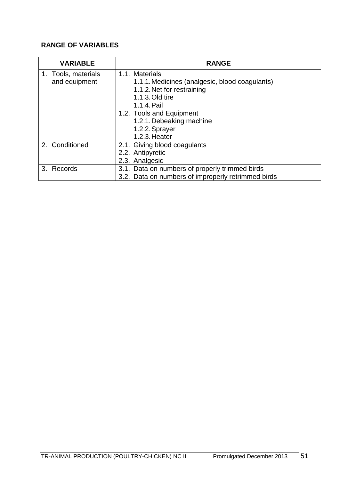# **RANGE OF VARIABLES**

| <b>VARIABLE</b>     | <b>RANGE</b>                                       |
|---------------------|----------------------------------------------------|
| 1. Tools, materials | 1.1. Materials                                     |
| and equipment       | 1.1.1. Medicines (analgesic, blood coagulants)     |
|                     | 1.1.2. Net for restraining                         |
|                     | 1.1.3. Old tire                                    |
|                     | 1.1.4. Pail                                        |
|                     | 1.2. Tools and Equipment                           |
|                     | 1.2.1. Debeaking machine                           |
|                     | 1.2.2. Sprayer                                     |
|                     | 1.2.3. Heater                                      |
| 2. Conditioned      | 2.1. Giving blood coagulants                       |
|                     | 2.2. Antipyretic                                   |
|                     | 2.3. Analgesic                                     |
| 3. Records          | 3.1. Data on numbers of properly trimmed birds     |
|                     | 3.2. Data on numbers of improperly retrimmed birds |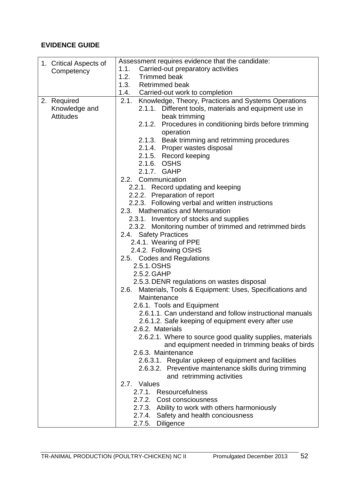| 1. Critical Aspects of | Assessment requires evidence that the candidate:               |  |  |  |
|------------------------|----------------------------------------------------------------|--|--|--|
| Competency             | Carried-out preparatory activities<br>1.1.                     |  |  |  |
|                        | 1.2.<br><b>Trimmed beak</b>                                    |  |  |  |
|                        | 1.3.<br><b>Retrimmed beak</b>                                  |  |  |  |
|                        | 1.4. Carried-out work to completion                            |  |  |  |
| 2. Required            | 2.1. Knowledge, Theory, Practices and Systems Operations       |  |  |  |
| Knowledge and          | 2.1.1. Different tools, materials and equipment use in         |  |  |  |
| <b>Attitudes</b>       | beak trimming                                                  |  |  |  |
|                        | 2.1.2. Procedures in conditioning birds before trimming        |  |  |  |
|                        | operation                                                      |  |  |  |
|                        | 2.1.3. Beak trimming and retrimming procedures                 |  |  |  |
|                        | 2.1.4. Proper wastes disposal                                  |  |  |  |
|                        | 2.1.5. Record keeping                                          |  |  |  |
|                        | 2.1.6. OSHS                                                    |  |  |  |
|                        | 2.1.7. GAHP                                                    |  |  |  |
|                        | 2.2. Communication                                             |  |  |  |
|                        | 2.2.1. Record updating and keeping                             |  |  |  |
|                        | 2.2.2. Preparation of report                                   |  |  |  |
|                        | 2.2.3. Following verbal and written instructions               |  |  |  |
|                        | 2.3. Mathematics and Mensuration                               |  |  |  |
|                        | 2.3.1. Inventory of stocks and supplies                        |  |  |  |
|                        | 2.3.2. Monitoring number of trimmed and retrimmed birds        |  |  |  |
|                        | 2.4. Safety Practices                                          |  |  |  |
|                        | 2.4.1. Wearing of PPE                                          |  |  |  |
|                        | 2.4.2. Following OSHS                                          |  |  |  |
|                        | 2.5. Codes and Regulations                                     |  |  |  |
|                        | 2.5.1. OSHS                                                    |  |  |  |
|                        | 2.5.2. GAHP                                                    |  |  |  |
|                        | 2.5.3. DENR regulations on wastes disposal                     |  |  |  |
|                        | Materials, Tools & Equipment: Uses, Specifications and<br>2.6. |  |  |  |
|                        | Maintenance                                                    |  |  |  |
|                        | 2.6.1. Tools and Equipment                                     |  |  |  |
|                        | 2.6.1.1. Can understand and follow instructional manuals       |  |  |  |
|                        | 2.6.1.2. Safe keeping of equipment every after use             |  |  |  |
|                        | 2.6.2. Materials                                               |  |  |  |
|                        | 2.6.2.1. Where to source good quality supplies, materials      |  |  |  |
|                        | and equipment needed in trimming beaks of birds                |  |  |  |
|                        | 2.6.3. Maintenance                                             |  |  |  |
|                        | 2.6.3.1. Regular upkeep of equipment and facilities            |  |  |  |
|                        | 2.6.3.2. Preventive maintenance skills during trimming         |  |  |  |
|                        | and retrimming activities                                      |  |  |  |
|                        | 2.7. Values                                                    |  |  |  |
|                        | 2.7.1. Resourcefulness                                         |  |  |  |
|                        | 2.7.2. Cost consciousness                                      |  |  |  |
|                        | 2.7.3. Ability to work with others harmoniously                |  |  |  |
|                        | 2.7.4.<br>Safety and health conciousness                       |  |  |  |
|                        | Diligence<br>2.7.5.                                            |  |  |  |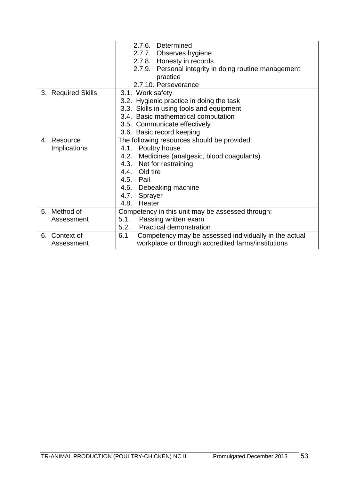|                     | 2.7.6. Determined                                            |  |  |  |
|---------------------|--------------------------------------------------------------|--|--|--|
|                     | 2.7.7. Observes hygiene                                      |  |  |  |
|                     | 2.7.8. Honesty in records                                    |  |  |  |
|                     | 2.7.9. Personal integrity in doing routine management        |  |  |  |
|                     | practice                                                     |  |  |  |
|                     | 2.7.10. Perseverance                                         |  |  |  |
| 3. Required Skills  | 3.1. Work safety                                             |  |  |  |
|                     | 3.2. Hygienic practice in doing the task                     |  |  |  |
|                     | 3.3. Skills in using tools and equipment                     |  |  |  |
|                     | 3.4. Basic mathematical computation                          |  |  |  |
|                     | 3.5. Communicate effectively                                 |  |  |  |
|                     | 3.6. Basic record keeping                                    |  |  |  |
| 4. Resource         | The following resources should be provided:                  |  |  |  |
| <b>Implications</b> | 4.1. Poultry house                                           |  |  |  |
|                     | 4.2. Medicines (analgesic, blood coagulants)                 |  |  |  |
|                     | 4.3. Net for restraining                                     |  |  |  |
|                     | 4.4. Old tire                                                |  |  |  |
|                     | 4.5. Pail                                                    |  |  |  |
|                     | 4.6. Debeaking machine                                       |  |  |  |
|                     | 4.7. Sprayer                                                 |  |  |  |
|                     | 4.8.<br>Heater                                               |  |  |  |
| 5. Method of        | Competency in this unit may be assessed through:             |  |  |  |
| Assessment          | Passing written exam<br>5.1.                                 |  |  |  |
|                     | <b>Practical demonstration</b><br>5.2.                       |  |  |  |
| 6. Context of       | 6.1<br>Competency may be assessed individually in the actual |  |  |  |
| Assessment          | workplace or through accredited farms/institutions           |  |  |  |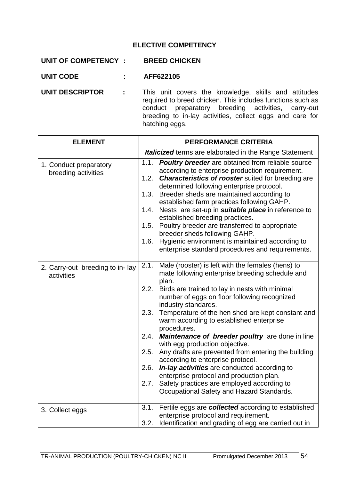# **ELECTIVE COMPETENCY**

| UNIT OF COMPETENCY :   |                           | <b>BREED CHICKEN</b>                                                                                                                                                                                                                                   |
|------------------------|---------------------------|--------------------------------------------------------------------------------------------------------------------------------------------------------------------------------------------------------------------------------------------------------|
| <b>UNIT CODE</b>       | $\mathbf{L} = \mathbf{L}$ | AFF622105                                                                                                                                                                                                                                              |
| <b>UNIT DESCRIPTOR</b> | $\sim 1000$               | This unit covers the knowledge, skills and attitudes<br>required to breed chicken. This includes functions such as<br>conduct preparatory breeding activities, carry-out<br>breeding to in-lay activities, collect eggs and care for<br>hatching eggs. |

| <b>ELEMENT</b>                                |              | <b>PERFORMANCE CRITERIA</b>                                                                                                                                                                                           |
|-----------------------------------------------|--------------|-----------------------------------------------------------------------------------------------------------------------------------------------------------------------------------------------------------------------|
|                                               |              | <b>Italicized</b> terms are elaborated in the Range Statement                                                                                                                                                         |
| 1. Conduct preparatory<br>breeding activities | 1.1.<br>1.2. | <b>Poultry breeder</b> are obtained from reliable source<br>according to enterprise production requirement.<br><b>Characteristics of rooster</b> suited for breeding are<br>determined following enterprise protocol. |
|                                               | 1.3.         | Breeder sheds are maintained according to<br>established farm practices following GAHP.                                                                                                                               |
|                                               | 1.4.         | Nests are set-up in <i>suitable place</i> in reference to<br>established breeding practices.                                                                                                                          |
|                                               | 1.5.         | Poultry breeder are transferred to appropriate<br>breeder sheds following GAHP.                                                                                                                                       |
|                                               | 1.6.         | Hygienic environment is maintained according to<br>enterprise standard procedures and requirements.                                                                                                                   |
| 2. Carry-out breeding to in-lay<br>activities | 2.1.         | Male (rooster) is left with the females (hens) to<br>mate following enterprise breeding schedule and<br>plan.                                                                                                         |
|                                               | 2.2.         | Birds are trained to lay in nests with minimal<br>number of eggs on floor following recognized<br>industry standards.                                                                                                 |
|                                               | 2.3.         | Temperature of the hen shed are kept constant and<br>warm according to established enterprise<br>procedures.                                                                                                          |
|                                               | 2.4.         | Maintenance of breeder poultry are done in line<br>with egg production objective.                                                                                                                                     |
|                                               | 2.5.         | Any drafts are prevented from entering the building<br>according to enterprise protocol.                                                                                                                              |
|                                               | 2.6.         | In-lay activities are conducted according to<br>enterprise protocol and production plan.                                                                                                                              |
|                                               | 2.7.         | Safety practices are employed according to<br>Occupational Safety and Hazard Standards.                                                                                                                               |
| 3. Collect eggs                               | 3.1.         | Fertile eggs are collected according to established<br>enterprise protocol and requirement.                                                                                                                           |
|                                               | 3.2.         | Identification and grading of egg are carried out in                                                                                                                                                                  |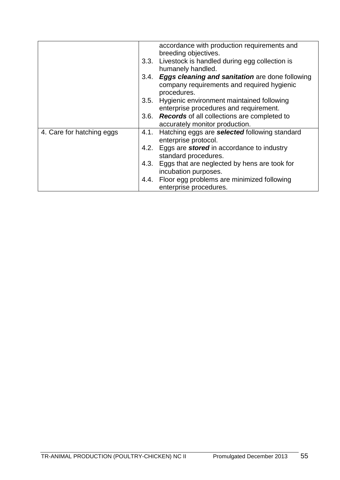|                           |      | accordance with production requirements and                                                                       |
|---------------------------|------|-------------------------------------------------------------------------------------------------------------------|
|                           |      |                                                                                                                   |
|                           |      | breeding objectives.                                                                                              |
|                           |      | 3.3. Livestock is handled during egg collection is                                                                |
|                           |      | humanely handled.                                                                                                 |
|                           |      | 3.4. Eggs cleaning and sanitation are done following<br>company requirements and required hygienic<br>procedures. |
|                           |      | 3.5. Hygienic environment maintained following                                                                    |
|                           |      | enterprise procedures and requirement.                                                                            |
|                           |      | 3.6. Records of all collections are completed to                                                                  |
|                           |      | accurately monitor production.                                                                                    |
| 4. Care for hatching eggs | 4.1. | Hatching eggs are selected following standard                                                                     |
|                           |      | enterprise protocol.                                                                                              |
|                           | 4.2. | Eggs are <b>stored</b> in accordance to industry                                                                  |
|                           |      | standard procedures.                                                                                              |
|                           |      | 4.3. Eggs that are neglected by hens are took for                                                                 |
|                           |      | incubation purposes.                                                                                              |
|                           |      | 4.4. Floor egg problems are minimized following                                                                   |
|                           |      | enterprise procedures.                                                                                            |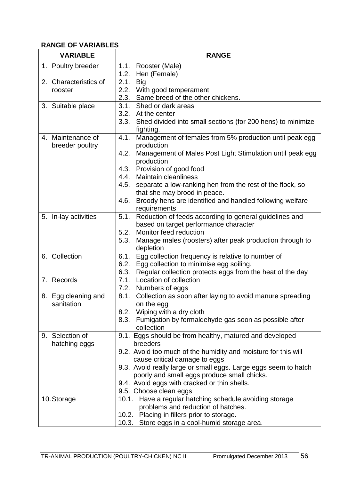### **RANGE OF VARIABLES**

| <b>VARIABLE</b>                      | <b>RANGE</b>                                                                    |  |  |  |
|--------------------------------------|---------------------------------------------------------------------------------|--|--|--|
| 1. Poultry breeder                   | Rooster (Male)<br>1.1.                                                          |  |  |  |
|                                      | 1.2.<br>Hen (Female)                                                            |  |  |  |
| 2. Characteristics of                | 2.1.<br><b>Big</b>                                                              |  |  |  |
| rooster                              | 2.2. With good temperament                                                      |  |  |  |
|                                      | 2.3.<br>Same breed of the other chickens.                                       |  |  |  |
| 3. Suitable place                    | Shed or dark areas<br>3.1.                                                      |  |  |  |
|                                      | 3.2. At the center                                                              |  |  |  |
|                                      | 3.3. Shed divided into small sections (for 200 hens) to minimize<br>fighting.   |  |  |  |
| 4. Maintenance of<br>breeder poultry | Management of females from 5% production until peak egg<br>4.1.<br>production   |  |  |  |
|                                      | Management of Males Post Light Stimulation until peak egg<br>4.2.<br>production |  |  |  |
|                                      | Provision of good food<br>4.3.                                                  |  |  |  |
|                                      | <b>Maintain cleanliness</b><br>4.4.                                             |  |  |  |
|                                      | 4.5.<br>separate a low-ranking hen from the rest of the flock, so               |  |  |  |
|                                      | that she may brood in peace.                                                    |  |  |  |
|                                      | Broody hens are identified and handled following welfare<br>4.6.                |  |  |  |
|                                      | requirements                                                                    |  |  |  |
| 5. In-lay activities                 | Reduction of feeds according to general guidelines and<br>5.1.                  |  |  |  |
|                                      | based on target performance character                                           |  |  |  |
|                                      | Monitor feed reduction<br>5.2.                                                  |  |  |  |
|                                      | Manage males (roosters) after peak production through to<br>5.3.                |  |  |  |
|                                      | depletion                                                                       |  |  |  |
| 6. Collection                        | Egg collection frequency is relative to number of<br>6.1.                       |  |  |  |
|                                      | Egg collection to minimise egg soiling.<br>6.2.                                 |  |  |  |
|                                      | Regular collection protects eggs from the heat of the day<br>6.3.               |  |  |  |
| 7. Records                           | 7.1.<br>Location of collection                                                  |  |  |  |
|                                      | Numbers of eggs<br>7.2.<br>8.1.                                                 |  |  |  |
| 8. Egg cleaning and<br>sanitation    | Collection as soon after laying to avoid manure spreading<br>on the egg         |  |  |  |
|                                      | 8.2. Wiping with a dry cloth                                                    |  |  |  |
|                                      | Fumigation by formaldehyde gas soon as possible after<br>8.3.                   |  |  |  |
|                                      | collection                                                                      |  |  |  |
| 9. Selection of                      | 9.1. Eggs should be from healthy, matured and developed                         |  |  |  |
| hatching eggs                        | breeders                                                                        |  |  |  |
|                                      | 9.2. Avoid too much of the humidity and moisture for this will                  |  |  |  |
|                                      | cause critical damage to eggs                                                   |  |  |  |
|                                      | 9.3. Avoid really large or small eggs. Large eggs seem to hatch                 |  |  |  |
|                                      | poorly and small eggs produce small chicks.                                     |  |  |  |
|                                      | 9.4. Avoid eggs with cracked or thin shells.                                    |  |  |  |
|                                      | 9.5. Choose clean eggs                                                          |  |  |  |
| 10. Storage                          | Have a regular hatching schedule avoiding storage<br>10.1.                      |  |  |  |
|                                      | problems and reduction of hatches.                                              |  |  |  |
|                                      | 10.2. Placing in fillers prior to storage.                                      |  |  |  |
|                                      | Store eggs in a cool-humid storage area.<br>10.3.                               |  |  |  |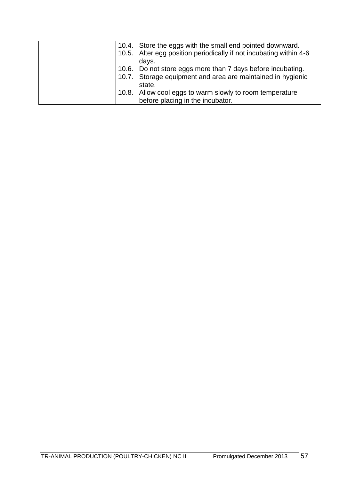|  | 10.4. Store the eggs with the small end pointed downward.          |
|--|--------------------------------------------------------------------|
|  | 10.5. Alter egg position periodically if not incubating within 4-6 |
|  | days.                                                              |
|  | 10.6. Do not store eggs more than 7 days before incubating.        |
|  | 10.7. Storage equipment and area are maintained in hygienic        |
|  | state.                                                             |
|  | 10.8. Allow cool eggs to warm slowly to room temperature           |
|  | before placing in the incubator.                                   |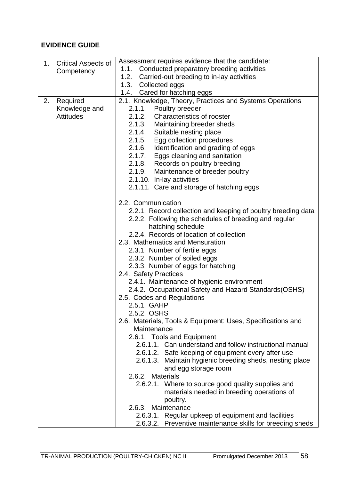|    | 1. Critical Aspects of | Assessment requires evidence that the candidate:              |  |  |  |  |  |
|----|------------------------|---------------------------------------------------------------|--|--|--|--|--|
|    | Competency             | Conducted preparatory breeding activities<br>1.1.             |  |  |  |  |  |
|    |                        | 1.2. Carried-out breeding to in-lay activities                |  |  |  |  |  |
|    |                        | 1.3. Collected eggs                                           |  |  |  |  |  |
|    |                        | 1.4. Cared for hatching eggs                                  |  |  |  |  |  |
| 2. | Required               | 2.1. Knowledge, Theory, Practices and Systems Operations      |  |  |  |  |  |
|    | Knowledge and          | 2.1.1. Poultry breeder                                        |  |  |  |  |  |
|    | <b>Attitudes</b>       | 2.1.2. Characteristics of rooster                             |  |  |  |  |  |
|    |                        | 2.1.3. Maintaining breeder sheds                              |  |  |  |  |  |
|    |                        | 2.1.4. Suitable nesting place                                 |  |  |  |  |  |
|    |                        | 2.1.5. Egg collection procedures                              |  |  |  |  |  |
|    |                        | 2.1.6. Identification and grading of eggs                     |  |  |  |  |  |
|    |                        | 2.1.7. Eggs cleaning and sanitation                           |  |  |  |  |  |
|    |                        | 2.1.8. Records on poultry breeding                            |  |  |  |  |  |
|    |                        | 2.1.9. Maintenance of breeder poultry                         |  |  |  |  |  |
|    |                        | 2.1.10. In-lay activities                                     |  |  |  |  |  |
|    |                        | 2.1.11. Care and storage of hatching eggs                     |  |  |  |  |  |
|    |                        | 2.2. Communication                                            |  |  |  |  |  |
|    |                        | 2.2.1. Record collection and keeping of poultry breeding data |  |  |  |  |  |
|    |                        | 2.2.2. Following the schedules of breeding and regular        |  |  |  |  |  |
|    |                        | hatching schedule                                             |  |  |  |  |  |
|    |                        | 2.2.4. Records of location of collection                      |  |  |  |  |  |
|    |                        | 2.3. Mathematics and Mensuration                              |  |  |  |  |  |
|    |                        | 2.3.1. Number of fertile eggs                                 |  |  |  |  |  |
|    |                        | 2.3.2. Number of soiled eggs                                  |  |  |  |  |  |
|    |                        | 2.3.3. Number of eggs for hatching                            |  |  |  |  |  |
|    |                        | 2.4. Safety Practices                                         |  |  |  |  |  |
|    |                        | 2.4.1. Maintenance of hygienic environment                    |  |  |  |  |  |
|    |                        | 2.4.2. Occupational Safety and Hazard Standards(OSHS)         |  |  |  |  |  |
|    |                        | 2.5. Codes and Regulations                                    |  |  |  |  |  |
|    |                        | 2.5.1. GAHP                                                   |  |  |  |  |  |
|    |                        | 2.5.2. OSHS                                                   |  |  |  |  |  |
|    |                        | 2.6. Materials, Tools & Equipment: Uses, Specifications and   |  |  |  |  |  |
|    |                        | Maintenance                                                   |  |  |  |  |  |
|    |                        | 2.6.1. Tools and Equipment                                    |  |  |  |  |  |
|    |                        | 2.6.1.1. Can understand and follow instructional manual       |  |  |  |  |  |
|    |                        | 2.6.1.2. Safe keeping of equipment every after use            |  |  |  |  |  |
|    |                        | 2.6.1.3. Maintain hygienic breeding sheds, nesting place      |  |  |  |  |  |
|    |                        | and egg storage room                                          |  |  |  |  |  |
|    |                        | 2.6.2. Materials                                              |  |  |  |  |  |
|    |                        | 2.6.2.1. Where to source good quality supplies and            |  |  |  |  |  |
|    |                        | materials needed in breeding operations of                    |  |  |  |  |  |
|    |                        | poultry.<br>2.6.3. Maintenance                                |  |  |  |  |  |
|    |                        | 2.6.3.1. Regular upkeep of equipment and facilities           |  |  |  |  |  |
|    |                        |                                                               |  |  |  |  |  |
|    |                        | 2.6.3.2. Preventive maintenance skills for breeding sheds     |  |  |  |  |  |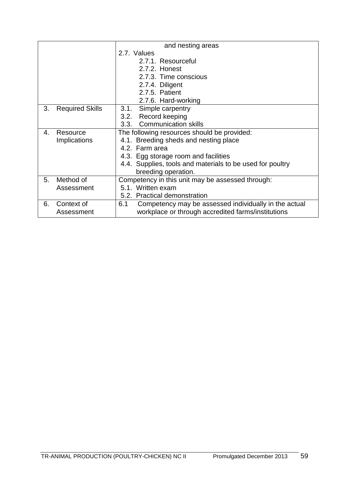| and nesting areas |                        |                                                              |  |  |  |  |
|-------------------|------------------------|--------------------------------------------------------------|--|--|--|--|
|                   |                        | 2.7. Values                                                  |  |  |  |  |
|                   |                        | 2.7.1. Resourceful                                           |  |  |  |  |
|                   |                        | 2.7.2. Honest                                                |  |  |  |  |
|                   |                        | 2.7.3. Time conscious                                        |  |  |  |  |
|                   |                        | 2.7.4. Diligent                                              |  |  |  |  |
|                   |                        | 2.7.5. Patient                                               |  |  |  |  |
|                   |                        | 2.7.6. Hard-working                                          |  |  |  |  |
| 3.                | <b>Required Skills</b> | Simple carpentry<br>3.1.                                     |  |  |  |  |
|                   |                        | 3.2. Record keeping                                          |  |  |  |  |
|                   |                        | <b>Communication skills</b><br>3.3.                          |  |  |  |  |
| 4.                | Resource               | The following resources should be provided:                  |  |  |  |  |
|                   | Implications           | 4.1. Breeding sheds and nesting place                        |  |  |  |  |
|                   |                        | 4.2. Farm area                                               |  |  |  |  |
|                   |                        | 4.3. Egg storage room and facilities                         |  |  |  |  |
|                   |                        | 4.4. Supplies, tools and materials to be used for poultry    |  |  |  |  |
|                   |                        | breeding operation.                                          |  |  |  |  |
| 5.                | Method of              | Competency in this unit may be assessed through:             |  |  |  |  |
|                   | Assessment             | 5.1. Written exam                                            |  |  |  |  |
|                   |                        | 5.2. Practical demonstration                                 |  |  |  |  |
| 6.                | Context of             | Competency may be assessed individually in the actual<br>6.1 |  |  |  |  |
|                   | Assessment             | workplace or through accredited farms/institutions           |  |  |  |  |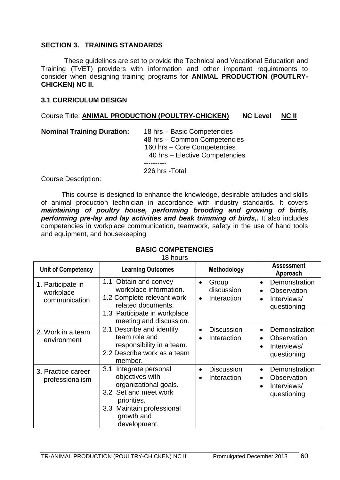#### **SECTION 3. TRAINING STANDARDS**

These guidelines are set to provide the Technical and Vocational Education and Training (TVET) providers with information and other important requirements to consider when designing training programs for **ANIMAL PRODUCTION (POUTLRY-CHICKEN) NC II.**

#### **3.1 CURRICULUM DESIGN**

#### Course Title: **ANIMAL PRODUCTION (POULTRY-CHICKEN) NC Level NC II**

| <b>Nominal Training Duration:</b> | 18 hrs - Basic Competencies<br>48 hrs - Common Competencies<br>160 hrs - Core Competencies<br>40 hrs - Elective Competencies |
|-----------------------------------|------------------------------------------------------------------------------------------------------------------------------|
|                                   | 226 hrs - Total                                                                                                              |

Course Description:

This course is designed to enhance the knowledge, desirable attitudes and skills of animal production technician in accordance with industry standards. It covers *maintaining of poultry house, performing brooding and growing of birds, performing pre-lay and lay activities and beak trimming of birds,***.** It also includes competencies in workplace communication, teamwork, safety in the use of hand tools and equipment, and housekeeping

#### **BASIC COMPETENCIES**

18 hours

| <b>Unit of Competency</b>                                                                                                                                                                                         | <b>Learning Outcomes</b>                                                                                                                                       | Methodology                                                  | <b>Assessment</b><br>Approach                                                                     |
|-------------------------------------------------------------------------------------------------------------------------------------------------------------------------------------------------------------------|----------------------------------------------------------------------------------------------------------------------------------------------------------------|--------------------------------------------------------------|---------------------------------------------------------------------------------------------------|
| 1. Participate in<br>workplace<br>communication                                                                                                                                                                   | 1.1 Obtain and convey<br>workplace information.<br>1.2 Complete relevant work<br>related documents.<br>1.3 Participate in workplace<br>meeting and discussion. | Group<br>$\bullet$<br>discussion<br>Interaction<br>$\bullet$ | Demonstration<br>$\bullet$<br>Observation<br>$\bullet$<br>Interviews/<br>questioning              |
| 2. Work in a team<br>environment                                                                                                                                                                                  | 2.1 Describe and identify<br>team role and<br>responsibility in a team.<br>2.2 Describe work as a team<br>member.                                              | <b>Discussion</b><br>$\bullet$<br>Interaction                | Demonstration<br>$\bullet$<br>Observation<br>Interviews/<br>$\bullet$<br>questioning              |
| 3.1<br>Integrate personal<br>3. Practice career<br>objectives with<br>professionalism<br>organizational goals.<br>3.2 Set and meet work<br>priorities.<br>3.3 Maintain professional<br>growth and<br>development. |                                                                                                                                                                | <b>Discussion</b><br>Interaction                             | Demonstration<br>$\bullet$<br>Observation<br>$\bullet$<br>Interviews/<br>$\bullet$<br>questioning |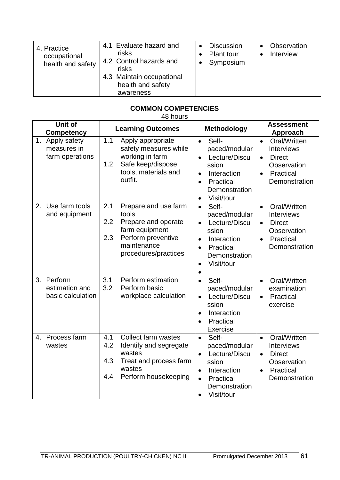| 4.1 Evaluate hazard and<br>4. Practice<br>risks<br>occupational<br>4.2 Control hazards and<br>health and safety<br>risks<br>4.3 Maintain occupational<br>health and safety<br>awareness | <b>Discussion</b><br>Plant tour<br>Symposium | Observation<br>Interview |
|-----------------------------------------------------------------------------------------------------------------------------------------------------------------------------------------|----------------------------------------------|--------------------------|
|-----------------------------------------------------------------------------------------------------------------------------------------------------------------------------------------|----------------------------------------------|--------------------------|

### **COMMON COMPETENCIES**

|                   | <b>Unit of</b>                                    |                                                                                                                                                          | <b>Assessment</b>                                                                                                                                                                                                                                                                                                            |
|-------------------|---------------------------------------------------|----------------------------------------------------------------------------------------------------------------------------------------------------------|------------------------------------------------------------------------------------------------------------------------------------------------------------------------------------------------------------------------------------------------------------------------------------------------------------------------------|
| <b>Competency</b> |                                                   | <b>Learning Outcomes</b>                                                                                                                                 | <b>Methodology</b><br><b>Approach</b>                                                                                                                                                                                                                                                                                        |
|                   | 1. Apply safety<br>measures in<br>farm operations | 1.1<br>Apply appropriate<br>safety measures while<br>working in farm<br>Safe keep/dispose<br>1.2<br>tools, materials and<br>outfit.                      | Self-<br>Oral/Written<br>$\bullet$<br>$\bullet$<br>paced/modular<br><b>Interviews</b><br>Lecture/Discu<br><b>Direct</b><br>$\bullet$<br>$\bullet$<br>Observation<br>ssion<br>Practical<br>Interaction<br>$\bullet$<br>$\bullet$<br>Practical<br>Demonstration<br>$\bullet$<br>Demonstration<br>Visit/tour<br>$\bullet$       |
| 2.                | Use farm tools<br>and equipment                   | 2.1<br>Prepare and use farm<br>tools<br>2.2<br>Prepare and operate<br>farm equipment<br>Perform preventive<br>2.3<br>maintenance<br>procedures/practices | Self-<br>Oral/Written<br>$\bullet$<br>$\bullet$<br>paced/modular<br>Interviews<br>Lecture/Discu<br><b>Direct</b><br>$\bullet$<br>$\bullet$<br>ssion<br>Observation<br>Practical<br>Interaction<br>$\bullet$<br>$\bullet$<br>Demonstration<br>Practical<br>$\bullet$<br>Demonstration<br>Visit/tour<br>$\bullet$<br>$\bullet$ |
| 3 <sub>1</sub>    | Perform<br>estimation and<br>basic calculation    | 3.1<br>Perform estimation<br>3.2<br>Perform basic<br>workplace calculation                                                                               | Self-<br>Oral/Written<br>$\bullet$<br>$\bullet$<br>paced/modular<br>examination<br>Lecture/Discu<br>Practical<br>$\bullet$<br>$\bullet$<br>ssion<br>exercise<br>Interaction<br>$\bullet$<br>Practical<br>$\bullet$<br>Exercise                                                                                               |
| 4.                | Process farm<br>wastes                            | 4.1<br><b>Collect farm wastes</b><br>4.2<br>Identify and segregate<br>wastes<br>4.3<br>Treat and process farm<br>wastes<br>4.4<br>Perform housekeeping   | Oral/Written<br>Self-<br>$\bullet$<br>$\bullet$<br>paced/modular<br><b>Interviews</b><br>Lecture/Discu<br><b>Direct</b><br>$\bullet$<br>Observation<br>ssion<br>Practical<br>Interaction<br>$\bullet$<br>$\bullet$<br>Demonstration<br>Practical<br>$\bullet$<br>Demonstration<br>Visit/tour<br>$\bullet$                    |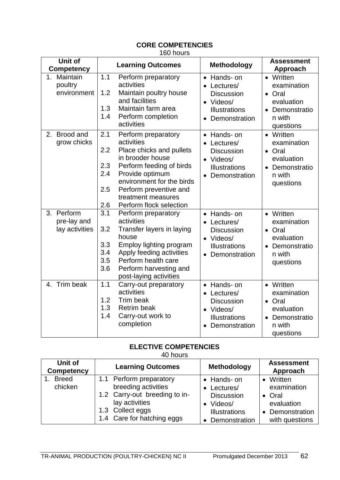# **CORE COMPETENCIES**

160 hours

| Unit of<br><b>Competency</b>                | <b>Learning Outcomes</b>                                                                                                                                                                                                                                                           | <b>Methodology</b>                                                                                               | <b>Assessment</b><br>Approach                                                                                   |
|---------------------------------------------|------------------------------------------------------------------------------------------------------------------------------------------------------------------------------------------------------------------------------------------------------------------------------------|------------------------------------------------------------------------------------------------------------------|-----------------------------------------------------------------------------------------------------------------|
| 1. Maintain<br>poultry<br>environment       | 1.1<br>Perform preparatory<br>activities<br>1.2<br>Maintain poultry house<br>and facilities<br>Maintain farm area<br>1.3<br>1.4<br>Perform completion<br>activities                                                                                                                | • Hands- on<br>Lectures/<br><b>Discussion</b><br>• Videos/<br><b>Illustrations</b><br>Demonstration<br>$\bullet$ | • Written<br>examination<br>Oral<br>$\bullet$<br>evaluation<br>Demonstratio<br>$\bullet$<br>n with<br>questions |
| 2. Brood and<br>grow chicks                 | 2.1<br>Perform preparatory<br>activities<br>2.2<br>Place chicks and pullets<br>in brooder house<br>2.3<br>Perform feeding of birds<br>2.4<br>Provide optimum<br>environment for the birds<br>2.5<br>Perform preventive and<br>treatment measures<br>2.6<br>Perform flock selection | • Hands- on<br>Lectures/<br><b>Discussion</b><br>• Videos/<br><b>Illustrations</b><br>Demonstration              | • Written<br>examination<br>• Oral<br>evaluation<br>Demonstratio<br>$\bullet$<br>n with<br>questions            |
| 3. Perform<br>pre-lay and<br>lay activities | 3.1<br>Perform preparatory<br>activities<br>3.2<br>Transfer layers in laying<br>house<br>3.3<br>Employ lighting program<br>3.4<br>Apply feeding activities<br>3.5<br>Perform health care<br>3.6<br>Perform harvesting and<br>post-laying activities                                | Hands- on<br>• Lectures/<br><b>Discussion</b><br>• Videos/<br>Illustrations<br>Demonstration                     | • Written<br>examination<br>• Oral<br>evaluation<br>• Demonstratio<br>n with<br>questions                       |
| 4. Trim beak                                | 1.1<br>Carry-out preparatory<br>activities<br>1.2<br>Trim beak<br>1.3<br><b>Retrim beak</b><br>1.4<br>Carry-out work to<br>completion                                                                                                                                              | Hands- on<br>• Lectures/<br>Discussion<br>• Videos/<br><b>Illustrations</b><br>Demonstration                     | • Written<br>examination<br>• Oral<br>evaluation<br>Demonstratio<br>$\bullet$<br>n with<br>questions            |

#### **ELECTIVE COMPETENCIES** 40 hours

| Unit of<br><b>Competency</b> | <b>Learning Outcomes</b>                                                                                                                            | Methodology                                                                                             | <b>Assessment</b><br>Approach                                                         |
|------------------------------|-----------------------------------------------------------------------------------------------------------------------------------------------------|---------------------------------------------------------------------------------------------------------|---------------------------------------------------------------------------------------|
| <b>Breed</b><br>chicken      | 1.1 Perform preparatory<br>breeding activities<br>1.2 Carry-out breeding to in-<br>lay activities<br>1.3 Collect eggs<br>1.4 Care for hatching eggs | • Hands- on<br>• Lectures/<br><b>Discussion</b><br>• Videos/<br><b>Illustrations</b><br>• Demonstration | • Written<br>examination<br>• Oral<br>evaluation<br>• Demonstration<br>with questions |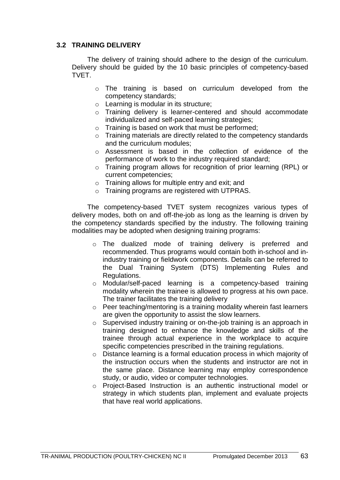### **3.2 TRAINING DELIVERY**

The delivery of training should adhere to the design of the curriculum. Delivery should be guided by the 10 basic principles of competency-based TVET.

- o The training is based on curriculum developed from the competency standards;
- o Learning is modular in its structure;
- o Training delivery is learner-centered and should accommodate individualized and self-paced learning strategies;
- o Training is based on work that must be performed;
- o Training materials are directly related to the competency standards and the curriculum modules;
- o Assessment is based in the collection of evidence of the performance of work to the industry required standard;
- o Training program allows for recognition of prior learning (RPL) or current competencies;
- o Training allows for multiple entry and exit; and
- o Training programs are registered with UTPRAS.

The competency-based TVET system recognizes various types of delivery modes, both on and off-the-job as long as the learning is driven by the competency standards specified by the industry. The following training modalities may be adopted when designing training programs:

- o The dualized mode of training delivery is preferred and recommended. Thus programs would contain both in-school and inindustry training or fieldwork components. Details can be referred to the Dual Training System (DTS) Implementing Rules and Regulations.
- o Modular/self-paced learning is a competency-based training modality wherein the trainee is allowed to progress at his own pace. The trainer facilitates the training delivery
- o Peer teaching/mentoring is a training modality wherein fast learners are given the opportunity to assist the slow learners.
- o Supervised industry training or on-the-job training is an approach in training designed to enhance the knowledge and skills of the trainee through actual experience in the workplace to acquire specific competencies prescribed in the training regulations.
- o Distance learning is a formal education process in which majority of the instruction occurs when the students and instructor are not in the same place. Distance learning may employ correspondence study, or audio, video or computer technologies.
- o Project-Based Instruction is an authentic instructional model or strategy in which students plan, implement and evaluate projects that have real world applications.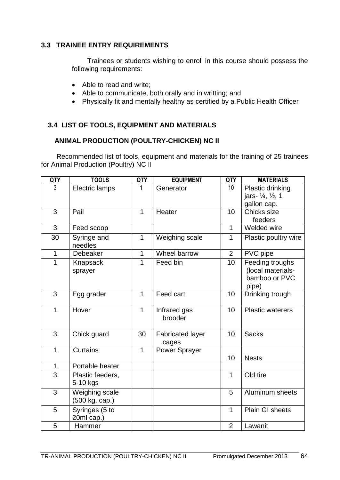### **3.3 TRAINEE ENTRY REQUIREMENTS**

Trainees or students wishing to enroll in this course should possess the following requirements:

- Able to read and write;
- Able to communicate, both orally and in writting; and
- Physically fit and mentally healthy as certified by a Public Health Officer

### **3.4 LIST OF TOOLS, EQUIPMENT AND MATERIALS**

### **ANIMAL PRODUCTION (POULTRY-CHICKEN) NC II**

Recommended list of tools, equipment and materials for the training of 25 trainees for Animal Production (Poultry) NC II

| QTY          | <b>TOOLS</b>                     | <b>QTY</b>   | <b>EQUIPMENT</b>                 | <b>QTY</b>     | <b>MATERIALS</b>                                                |
|--------------|----------------------------------|--------------|----------------------------------|----------------|-----------------------------------------------------------------|
| 3            | Electric lamps                   | 1            | Generator                        | 10             | Plastic drinking<br>jars- 1/ <sub>4</sub> , 1/ <sub>2</sub> , 1 |
|              |                                  |              |                                  |                | gallon cap.                                                     |
| 3            | Pail                             | 1            | Heater                           | 10             | Chicks size                                                     |
|              |                                  |              |                                  |                | feeders                                                         |
| 3            | Feed scoop                       |              |                                  | 1              | Welded wire                                                     |
| 30           | Syringe and<br>needles           | 1            | Weighing scale                   | $\mathbf 1$    | Plastic poultry wire                                            |
| $\mathbf{1}$ | Debeaker                         | $\mathbf{1}$ | Wheel barrow                     | $\overline{2}$ | PVC pipe                                                        |
| 1            | Knapsack<br>sprayer              | 1            | Feed bin                         | 10             | Feeding troughs<br>(local materials-<br>bamboo or PVC<br>pipe)  |
| 3            | Egg grader                       | $\mathbf{1}$ | Feed cart                        | 10             | Drinking trough                                                 |
| $\mathbf{1}$ | Hover                            | 1            | Infrared gas<br>brooder          | 10             | <b>Plastic waterers</b>                                         |
| 3            | Chick guard                      | 30           | <b>Fabricated layer</b><br>cages | 10             | <b>Sacks</b>                                                    |
| $\mathbf{1}$ | <b>Curtains</b>                  | 1            | Power Sprayer                    | 10             | <b>Nests</b>                                                    |
| $\mathbf{1}$ | Portable heater                  |              |                                  |                |                                                                 |
| 3            | Plastic feeders,<br>5-10 kgs     |              |                                  | $\mathbf 1$    | Old tire                                                        |
| 3            | Weighing scale<br>(500 kg. cap.) |              |                                  | 5              | Aluminum sheets                                                 |
| 5            | Syringes (5 to<br>20ml cap.)     |              |                                  | 1              | Plain GI sheets                                                 |
| 5            | Hammer                           |              |                                  | $\overline{2}$ | Lawanit                                                         |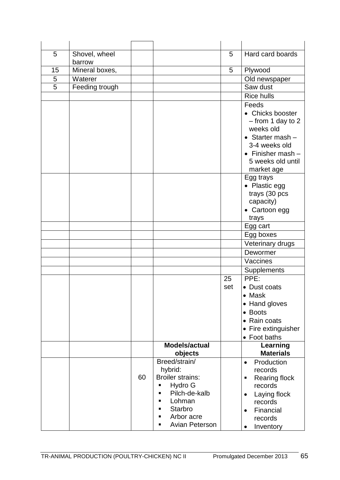| 5              | Shovel, wheel  |    |                         | 5   | Hard card boards               |
|----------------|----------------|----|-------------------------|-----|--------------------------------|
|                | barrow         |    |                         |     |                                |
| 15             | Mineral boxes, |    |                         | 5   | Plywood                        |
| 5              | Waterer        |    |                         |     | Old newspaper                  |
| $\overline{5}$ | Feeding trough |    |                         |     | Saw dust                       |
|                |                |    |                         |     | <b>Rice hulls</b>              |
|                |                |    |                         |     | Feeds                          |
|                |                |    |                         |     | • Chicks booster               |
|                |                |    |                         |     | $-$ from 1 day to 2            |
|                |                |    |                         |     | weeks old                      |
|                |                |    |                         |     | $\bullet$ Starter mash $-$     |
|                |                |    |                         |     | 3-4 weeks old                  |
|                |                |    |                         |     | $\bullet$ Finisher mash $-$    |
|                |                |    |                         |     | 5 weeks old until              |
|                |                |    |                         |     | market age                     |
|                |                |    |                         |     | Egg trays                      |
|                |                |    |                         |     | • Plastic egg                  |
|                |                |    |                         |     | trays (30 pcs                  |
|                |                |    |                         |     | capacity)                      |
|                |                |    |                         |     | • Cartoon egg                  |
|                |                |    |                         |     | trays<br>Egg cart              |
|                |                |    |                         |     |                                |
|                |                |    |                         |     | Egg boxes<br>Veterinary drugs  |
|                |                |    |                         |     | Dewormer                       |
|                |                |    |                         |     | Vaccines                       |
|                |                |    |                         |     | Supplements                    |
|                |                |    |                         | 25  | PPE:                           |
|                |                |    |                         | set | • Dust coats                   |
|                |                |    |                         |     | $\bullet$ Mask                 |
|                |                |    |                         |     | • Hand gloves                  |
|                |                |    |                         |     | • Boots                        |
|                |                |    |                         |     | Rain coats<br>$\bullet$        |
|                |                |    |                         |     | Fire extinguisher<br>$\bullet$ |
|                |                |    |                         |     | Foot baths<br>$\bullet$        |
|                |                |    | Models/actual           |     | Learning                       |
|                |                |    | objects                 |     | <b>Materials</b>               |
|                |                |    | Breed/strain/           |     | Production<br>$\bullet$        |
|                |                |    | hybrid:                 |     | records                        |
|                |                | 60 | <b>Broiler strains:</b> |     | Rearing flock<br>п             |
|                |                |    | Hydro G<br>П            |     | records                        |
|                |                |    | Pilch-de-kalb<br>п      |     | Laying flock<br>$\bullet$      |
|                |                |    | Lohman<br>п             |     | records                        |
|                |                |    | <b>Starbro</b><br>п     |     | Financial<br>$\bullet$         |
|                |                |    | Arbor acre              |     | records                        |
|                |                |    | <b>Avian Peterson</b>   |     | Inventory<br>$\bullet$         |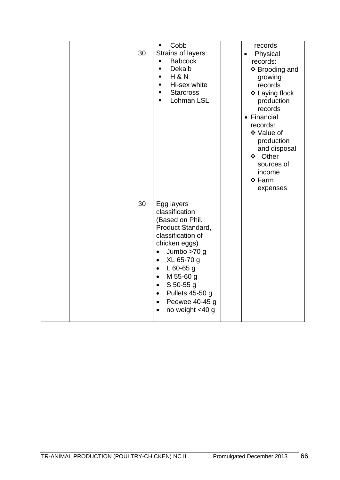| 30 | Cobb<br>$\blacksquare$<br>Strains of layers:<br>$\blacksquare$<br><b>Babcock</b><br>Dekalb<br>$\blacksquare$<br><b>H &amp; N</b><br>$\blacksquare$<br>Hi-sex white<br>$\blacksquare$<br><b>Starcross</b><br>$\blacksquare$<br>Lohman LSL<br>٠                                                                                                        | records<br>Physical<br>$\bullet$<br>records:<br>❖ Brooding and<br>growing<br>records<br>❖ Laying flock<br>production<br>records<br>• Financial<br>records:<br>❖ Value of<br>production<br>and disposal<br>❖ Other<br>sources of<br>income<br>❖ Farm<br>expenses |
|----|------------------------------------------------------------------------------------------------------------------------------------------------------------------------------------------------------------------------------------------------------------------------------------------------------------------------------------------------------|-----------------------------------------------------------------------------------------------------------------------------------------------------------------------------------------------------------------------------------------------------------------|
| 30 | Egg layers<br>classification<br>(Based on Phil.<br>Product Standard,<br>classification of<br>chicken eggs)<br>Jumbo $>70$ g<br>$\bullet$<br>XL 65-70 g<br>$\bullet$<br>L $60-65$ g<br>$\bullet$<br>M 55-60 g<br>$\bullet$<br>$S$ 50-55 g<br>$\bullet$<br>Pullets 45-50 g<br>$\bullet$<br>Peewee 40-45 g<br>$\bullet$<br>no weight <40 g<br>$\bullet$ |                                                                                                                                                                                                                                                                 |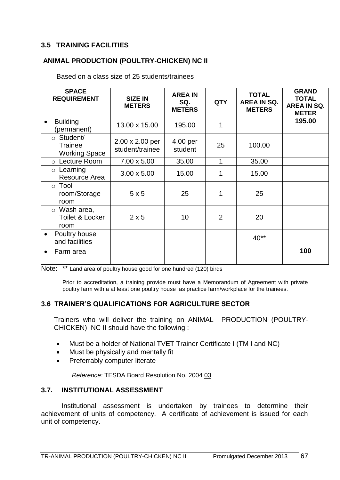### **3.5 TRAINING FACILITIES**

### **ANIMAL PRODUCTION (POULTRY-CHICKEN) NC II**

Based on a class size of 25 students/trainees

| <b>SPACE</b><br><b>REQUIREMENT</b>                         | <b>SIZE IN</b><br><b>METERS</b>    | <b>AREA IN</b><br>SQ.<br><b>METERS</b> | <b>QTY</b> | <b>TOTAL</b><br><b>AREA IN SQ.</b><br><b>METERS</b> | <b>GRAND</b><br><b>TOTAL</b><br>AREA IN SQ.<br><b>METER</b> |
|------------------------------------------------------------|------------------------------------|----------------------------------------|------------|-----------------------------------------------------|-------------------------------------------------------------|
| <b>Building</b><br>$\bullet$<br>(permanent)                | 13.00 x 15.00                      | 195.00                                 | 1          |                                                     | 195.00                                                      |
| $\circ$ Student/<br><b>Trainee</b><br><b>Working Space</b> | 2.00 x 2.00 per<br>student/trainee | 4.00 per<br>student                    | 25         | 100.00                                              |                                                             |
| o Lecture Room                                             | 7.00 x 5.00                        | 35.00                                  | 1          | 35.00                                               |                                                             |
| $\circ$ Learning<br>Resource Area                          | $3.00 \times 5.00$                 | 15.00                                  | 1          | 15.00                                               |                                                             |
| $\circ$ Tool<br>room/Storage<br>room                       | 5x5                                | 25                                     | 1          | 25                                                  |                                                             |
| $\circ$ Wash area,<br><b>Toilet &amp; Locker</b><br>room   | $2 \times 5$                       | 10                                     | 2          | 20                                                  |                                                             |
| Poultry house<br>$\bullet$<br>and facilities               |                                    |                                        |            | $40**$                                              |                                                             |
| Farm area<br>$\bullet$                                     |                                    |                                        |            |                                                     | 100                                                         |

|  | Note: ** Land area of poultry house good for one hundred (120) birds |  |
|--|----------------------------------------------------------------------|--|
|--|----------------------------------------------------------------------|--|

Prior to accreditation, a training provide must have a Memorandum of Agreement with private poultry farm with a at least one poultry house as practice farm/workplace for the trainees.

#### **3.6 TRAINER'S QUALIFICATIONS FOR AGRICULTURE SECTOR**

Trainers who will deliver the training on ANIMAL PRODUCTION (POULTRY-CHICKEN) NC II should have the following :

- Must be a holder of National TVET Trainer Certificate I (TM I and NC)
- Must be physically and mentally fit
- Preferrably computer literate

*Reference:* TESDA Board Resolution No. 2004 03

#### **3.7. INSTITUTIONAL ASSESSMENT**

Institutional assessment is undertaken by trainees to determine their achievement of units of competency. A certificate of achievement is issued for each unit of competency.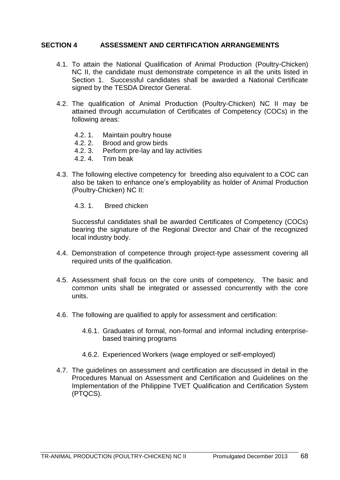#### **SECTION 4 ASSESSMENT AND CERTIFICATION ARRANGEMENTS**

- 4.1. To attain the National Qualification of Animal Production (Poultry-Chicken) NC II, the candidate must demonstrate competence in all the units listed in Section 1. Successful candidates shall be awarded a National Certificate signed by the TESDA Director General.
- 4.2. The qualification of Animal Production (Poultry-Chicken) NC II may be attained through accumulation of Certificates of Competency (COCs) in the following areas:
	- 4.2. 1. Maintain poultry house
	- 4.2. 2. Brood and grow birds
	- 4.2. 3. Perform pre-lay and lay activities
	- 4.2. 4. Trim beak
- 4.3. The following elective competency for breeding also equivalent to a COC can also be taken to enhance one's employability as holder of Animal Production (Poultry-Chicken) NC II:
	- 4.3. 1. Breed chicken

Successful candidates shall be awarded Certificates of Competency (COCs) bearing the signature of the Regional Director and Chair of the recognized local industry body.

- 4.4. Demonstration of competence through project-type assessment covering all required units of the qualification.
- 4.5. Assessment shall focus on the core units of competency. The basic and common units shall be integrated or assessed concurrently with the core units.
- 4.6. The following are qualified to apply for assessment and certification:
	- 4.6.1. Graduates of formal, non-formal and informal including enterprisebased training programs
	- 4.6.2. Experienced Workers (wage employed or self-employed)
- 4.7. The guidelines on assessment and certification are discussed in detail in the Procedures Manual on Assessment and Certification and Guidelines on the Implementation of the Philippine TVET Qualification and Certification System (PTQCS).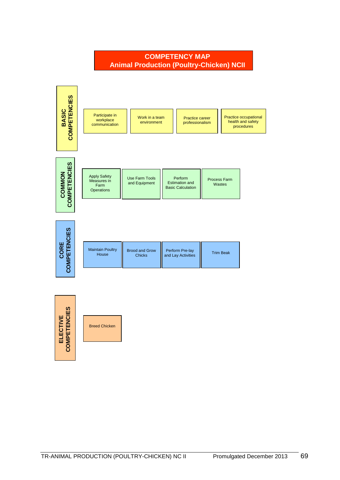

# **SUPERMARKET OF COMPETENCIES COMPETENCY MAP**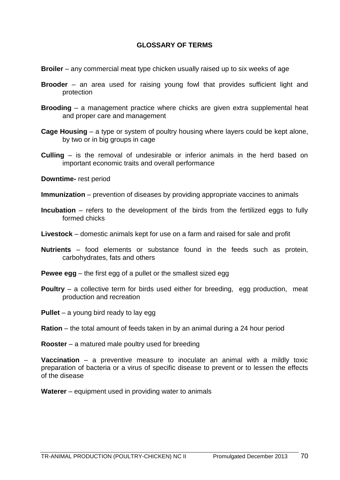#### **GLOSSARY OF TERMS**

- **Broiler** any commercial meat type chicken usually raised up to six weeks of age
- **Brooder** an area used for raising young fowl that provides sufficient light and protection
- **Brooding** a management practice where chicks are given extra supplemental heat and proper care and management
- **Cage Housing** a type or system of poultry housing where layers could be kept alone, by two or in big groups in cage
- **Culling** is the removal of undesirable or inferior animals in the herd based on important economic traits and overall performance

**Downtime-** rest period

- **Immunization** prevention of diseases by providing appropriate vaccines to animals
- **Incubation** refers to the development of the birds from the fertilized eggs to fully formed chicks
- **Livestock** domestic animals kept for use on a farm and raised for sale and profit
- **Nutrients** food elements or substance found in the feeds such as protein, carbohydrates, fats and others
- **Pewee egg** the first egg of a pullet or the smallest sized egg
- **Poultry** a collective term for birds used either for breeding, egg production, meat production and recreation
- **Pullet** a young bird ready to lay egg
- **Ration** the total amount of feeds taken in by an animal during a 24 hour period
- **Rooster** a matured male poultry used for breeding

**Vaccination** – a preventive measure to inoculate an animal with a mildly toxic preparation of bacteria or a virus of specific disease to prevent or to lessen the effects of the disease

**Waterer** – equipment used in providing water to animals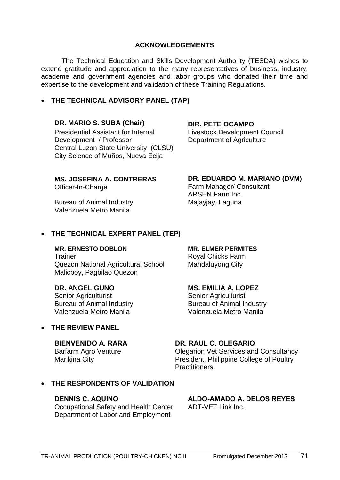### **ACKNOWLEDGEMENTS**

The Technical Education and Skills Development Authority (TESDA) wishes to extend gratitude and appreciation to the many representatives of business, industry, academe and government agencies and labor groups who donated their time and expertise to the development and validation of these Training Regulations.

## **THE TECHNICAL ADVISORY PANEL (TAP)**

### **DR. MARIO S. SUBA (Chair) DIR. PETE OCAMPO**

Presidential Assistant for Internal Development / Professor Central Luzon State University (CLSU) City Science of Muños, Nueva Ecija

Livestock Development Council Department of Agriculture

## **MS. JOSEFINA A. CONTRERAS**

Officer-In-Charge

Bureau of Animal Industry **Majayjay, Laguna** Valenzuela Metro Manila

#### **DR. EDUARDO M. MARIANO (DVM)**

Farm Manager/ Consultant ARSEN Farm Inc.

### **THE TECHNICAL EXPERT PANEL (TEP)**

# **MR. ERNESTO DOBLON MR. ELMER PERMITES**

Trainer **Royal Chicks Farm** Quezon National Agricultural School Mandaluyong City Malicboy, Pagbilao Quezon

Senior Agriculturist Senior Agriculturist Bureau of Animal Industry **Bureau of Animal Industry** Valenzuela Metro Manila Valenzuela Metro Manila

### **THE REVIEW PANEL**

## **BIENVENIDO A. RARA**

Barfarm Agro Venture Marikina City

## **DR. ANGEL GUNO MS. EMILIA A. LOPEZ**

#### **DR. RAUL C. OLEGARIO**

Olegarion Vet Services and Consultancy President, Philippine College of Poultry **Practitioners** 

## **THE RESPONDENTS OF VALIDATION**

#### **DENNIS C. AQUINO**

Occupational Safety and Health Center Department of Labor and Employment

#### **ALDO-AMADO A. DELOS REYES** ADT-VET Link Inc.